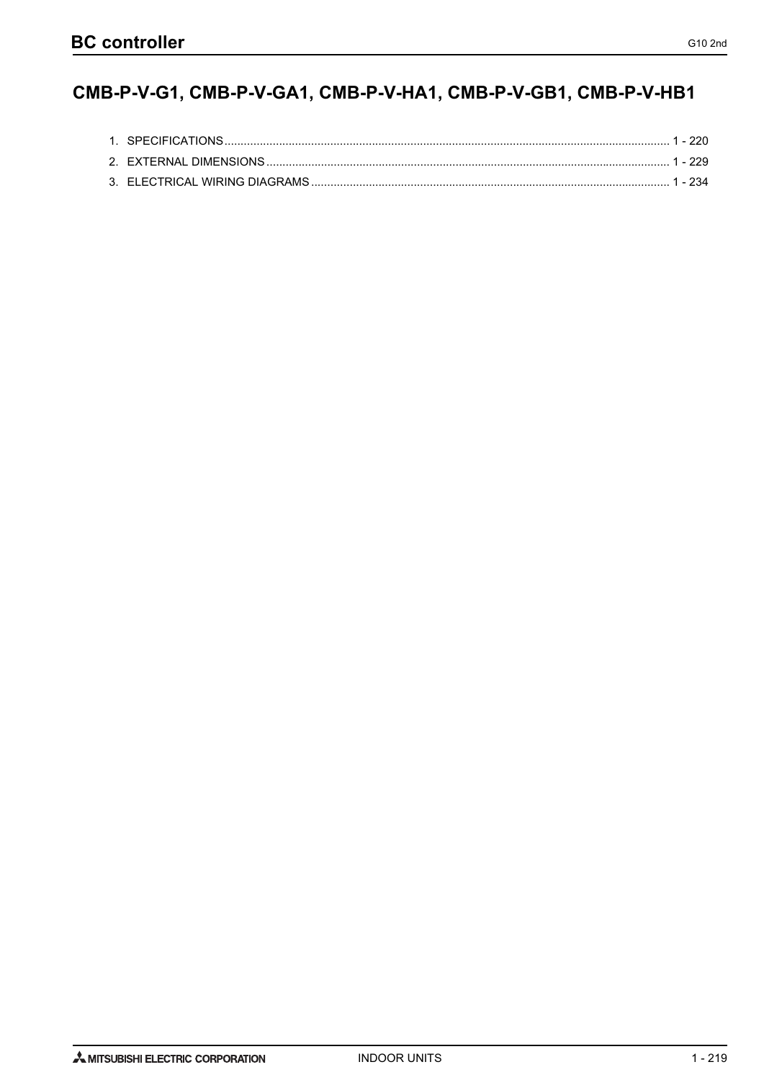# CMB-P-V-G1, CMB-P-V-GA1, CMB-P-V-HA1, CMB-P-V-GB1, CMB-P-V-HB1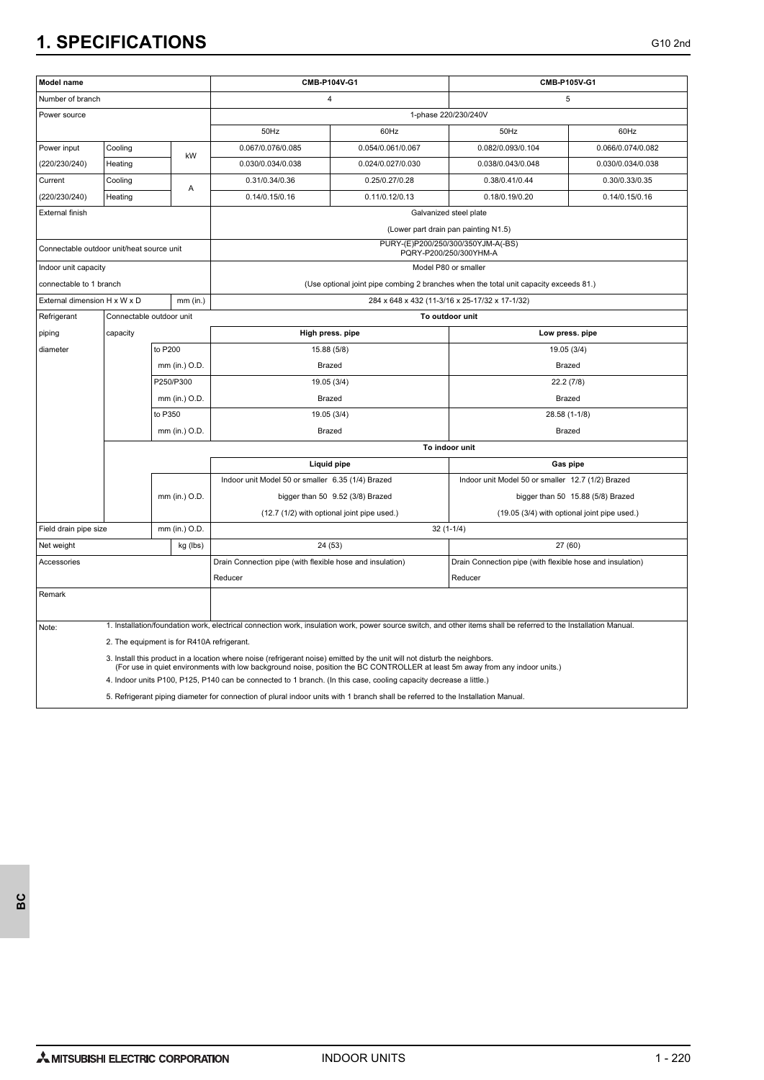| Model name                                |                                            |               |                                                                                                                                                                                                                                                     | CMB-P104V-G1                                                                                                                                                     |                                                                                                                                  |                                                                                       | CMB-P105V-G1      |  |
|-------------------------------------------|--------------------------------------------|---------------|-----------------------------------------------------------------------------------------------------------------------------------------------------------------------------------------------------------------------------------------------------|------------------------------------------------------------------------------------------------------------------------------------------------------------------|----------------------------------------------------------------------------------------------------------------------------------|---------------------------------------------------------------------------------------|-------------------|--|
| Number of branch                          |                                            |               |                                                                                                                                                                                                                                                     | 4                                                                                                                                                                |                                                                                                                                  |                                                                                       | 5                 |  |
| Power source                              |                                            |               |                                                                                                                                                                                                                                                     |                                                                                                                                                                  | 1-phase 220/230/240V                                                                                                             |                                                                                       |                   |  |
|                                           |                                            |               |                                                                                                                                                                                                                                                     | 50Hz                                                                                                                                                             | 60Hz                                                                                                                             | 50Hz                                                                                  | 60Hz              |  |
| Power input                               | Cooling                                    |               |                                                                                                                                                                                                                                                     | 0.067/0.076/0.085                                                                                                                                                | 0.054/0.061/0.067                                                                                                                | 0.082/0.093/0.104                                                                     | 0.066/0.074/0.082 |  |
| (220/230/240)                             | kW<br>Heating                              |               | 0.030/0.034/0.038                                                                                                                                                                                                                                   | 0.024/0.027/0.030                                                                                                                                                | 0.038/0.043/0.048                                                                                                                | 0.030/0.034/0.038                                                                     |                   |  |
| Current                                   | Cooling                                    |               | Α                                                                                                                                                                                                                                                   | 0.31/0.34/0.36                                                                                                                                                   | 0.25/0.27/0.28                                                                                                                   | 0.38/0.41/0.44                                                                        | 0.30/0.33/0.35    |  |
| (220/230/240)                             | Heating                                    |               |                                                                                                                                                                                                                                                     | 0.14/0.15/0.16                                                                                                                                                   | 0.11/0.12/0.13                                                                                                                   | 0.18/0.19/0.20                                                                        | 0.14/0.15/0.16    |  |
| External finish                           |                                            |               |                                                                                                                                                                                                                                                     |                                                                                                                                                                  |                                                                                                                                  | Galvanized steel plate                                                                |                   |  |
|                                           |                                            |               |                                                                                                                                                                                                                                                     |                                                                                                                                                                  |                                                                                                                                  | (Lower part drain pan painting N1.5)                                                  |                   |  |
| Connectable outdoor unit/heat source unit |                                            |               |                                                                                                                                                                                                                                                     |                                                                                                                                                                  |                                                                                                                                  | PURY-(E)P200/250/300/350YJM-A(-BS)<br>PQRY-P200/250/300YHM-A                          |                   |  |
| Indoor unit capacity                      |                                            |               |                                                                                                                                                                                                                                                     |                                                                                                                                                                  |                                                                                                                                  | Model P80 or smaller                                                                  |                   |  |
| connectable to 1 branch                   |                                            |               |                                                                                                                                                                                                                                                     |                                                                                                                                                                  |                                                                                                                                  | (Use optional joint pipe combing 2 branches when the total unit capacity exceeds 81.) |                   |  |
| External dimension H x W x D              |                                            |               | $mm$ (in.)                                                                                                                                                                                                                                          |                                                                                                                                                                  |                                                                                                                                  | 284 x 648 x 432 (11-3/16 x 25-17/32 x 17-1/32)                                        |                   |  |
| Refrigerant                               | Connectable outdoor unit                   |               |                                                                                                                                                                                                                                                     |                                                                                                                                                                  |                                                                                                                                  | To outdoor unit                                                                       |                   |  |
| piping                                    | capacity                                   |               |                                                                                                                                                                                                                                                     | High press. pipe                                                                                                                                                 |                                                                                                                                  |                                                                                       | Low press. pipe   |  |
| diameter                                  |                                            | to P200       |                                                                                                                                                                                                                                                     | 15.88 (5/8)                                                                                                                                                      |                                                                                                                                  |                                                                                       | 19.05 (3/4)       |  |
|                                           |                                            |               | mm (in.) O.D.                                                                                                                                                                                                                                       | Brazed                                                                                                                                                           |                                                                                                                                  |                                                                                       | Brazed            |  |
|                                           |                                            |               | P250/P300                                                                                                                                                                                                                                           | 19.05 (3/4)                                                                                                                                                      |                                                                                                                                  |                                                                                       | 22.2 (7/8)        |  |
|                                           |                                            |               | mm (in.) O.D.                                                                                                                                                                                                                                       | Brazed                                                                                                                                                           |                                                                                                                                  |                                                                                       | <b>Brazed</b>     |  |
|                                           |                                            | to P350       |                                                                                                                                                                                                                                                     | 19.05 (3/4)                                                                                                                                                      |                                                                                                                                  |                                                                                       |                   |  |
|                                           |                                            |               | mm (in.) O.D.                                                                                                                                                                                                                                       | Brazed                                                                                                                                                           |                                                                                                                                  | 28.58 (1-1/8)<br>Brazed                                                               |                   |  |
|                                           |                                            |               |                                                                                                                                                                                                                                                     |                                                                                                                                                                  | To indoor unit                                                                                                                   |                                                                                       |                   |  |
|                                           |                                            |               |                                                                                                                                                                                                                                                     | <b>Liquid pipe</b>                                                                                                                                               |                                                                                                                                  |                                                                                       | Gas pipe          |  |
|                                           |                                            |               |                                                                                                                                                                                                                                                     | Indoor unit Model 50 or smaller 6.35 (1/4) Brazed                                                                                                                |                                                                                                                                  | Indoor unit Model 50 or smaller 12.7 (1/2) Brazed                                     |                   |  |
|                                           |                                            | mm (in.) O.D. |                                                                                                                                                                                                                                                     | bigger than 50 9.52 (3/8) Brazed                                                                                                                                 |                                                                                                                                  | bigger than 50 15.88 (5/8) Brazed                                                     |                   |  |
|                                           |                                            |               |                                                                                                                                                                                                                                                     | (12.7 (1/2) with optional joint pipe used.)                                                                                                                      |                                                                                                                                  | (19.05 (3/4) with optional joint pipe used.)                                          |                   |  |
| Field drain pipe size                     |                                            |               | mm (in.) O.D.                                                                                                                                                                                                                                       |                                                                                                                                                                  |                                                                                                                                  | $32(1-1/4)$                                                                           |                   |  |
| Net weight                                |                                            | kg (lbs)      |                                                                                                                                                                                                                                                     | 24 (53)                                                                                                                                                          |                                                                                                                                  |                                                                                       | 27 (60)           |  |
| Accessories                               |                                            |               |                                                                                                                                                                                                                                                     | Drain Connection pipe (with flexible hose and insulation)                                                                                                        |                                                                                                                                  | Drain Connection pipe (with flexible hose and insulation)                             |                   |  |
|                                           |                                            |               |                                                                                                                                                                                                                                                     | Reducer                                                                                                                                                          |                                                                                                                                  | Reducer                                                                               |                   |  |
| Remark                                    |                                            |               |                                                                                                                                                                                                                                                     |                                                                                                                                                                  |                                                                                                                                  |                                                                                       |                   |  |
|                                           |                                            |               |                                                                                                                                                                                                                                                     |                                                                                                                                                                  |                                                                                                                                  |                                                                                       |                   |  |
| Note:                                     |                                            |               |                                                                                                                                                                                                                                                     | 1. Installation/foundation work, electrical connection work, insulation work, power source switch, and other items shall be referred to the Installation Manual. |                                                                                                                                  |                                                                                       |                   |  |
|                                           | 2. The equipment is for R410A refrigerant. |               |                                                                                                                                                                                                                                                     |                                                                                                                                                                  |                                                                                                                                  |                                                                                       |                   |  |
|                                           |                                            |               |                                                                                                                                                                                                                                                     | 3. Install this product in a location where noise (refrigerant noise) emitted by the unit will not disturb the neighbors.                                        |                                                                                                                                  |                                                                                       |                   |  |
|                                           |                                            |               | (For use in quiet environments with low background noise, position the BC CONTROLLER at least 5m away from any indoor units.)<br>4. Indoor units P100, P125, P140 can be connected to 1 branch. (In this case, cooling capacity decrease a little.) |                                                                                                                                                                  |                                                                                                                                  |                                                                                       |                   |  |
|                                           |                                            |               |                                                                                                                                                                                                                                                     |                                                                                                                                                                  | 5. Refrigerant piping diameter for connection of plural indoor units with 1 branch shall be referred to the Installation Manual. |                                                                                       |                   |  |
|                                           |                                            |               |                                                                                                                                                                                                                                                     |                                                                                                                                                                  |                                                                                                                                  |                                                                                       |                   |  |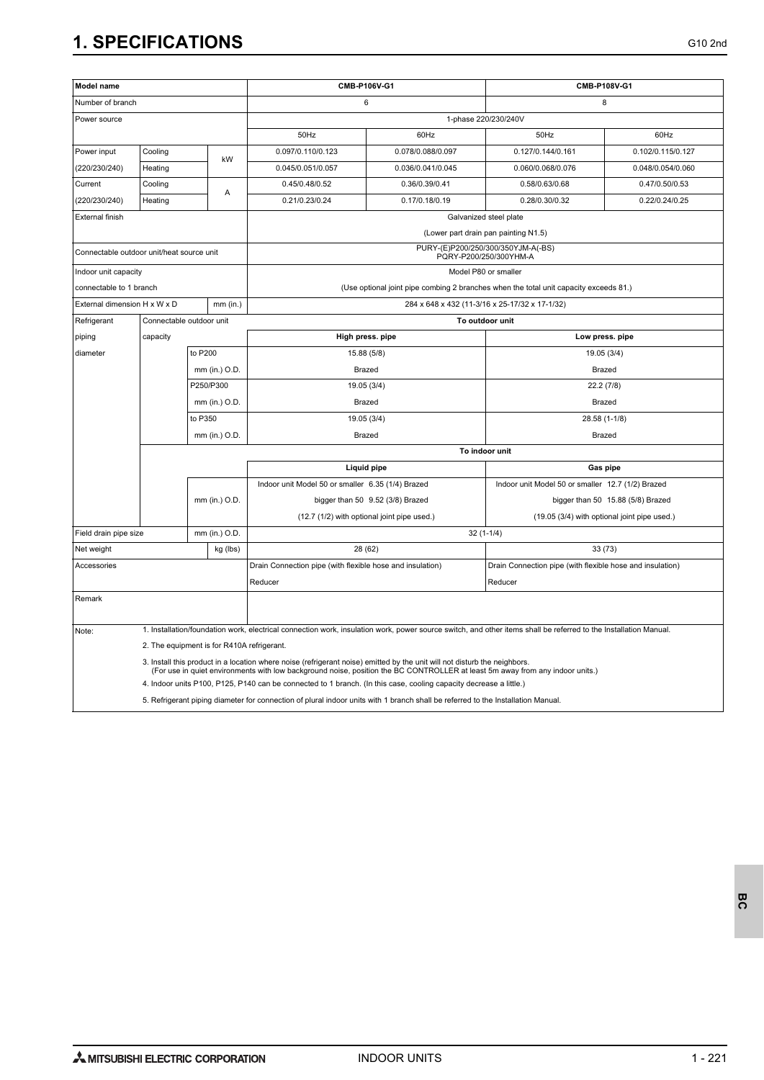| Model name                                |                                            |               |               | CMB-P106V-G1                                                                                                                                                     |                                                | CMB-P108V-G1                                                                          |                                   |  |  |
|-------------------------------------------|--------------------------------------------|---------------|---------------|------------------------------------------------------------------------------------------------------------------------------------------------------------------|------------------------------------------------|---------------------------------------------------------------------------------------|-----------------------------------|--|--|
| Number of branch                          |                                            |               |               | 6                                                                                                                                                                |                                                | 8                                                                                     |                                   |  |  |
| Power source                              |                                            |               |               |                                                                                                                                                                  |                                                | 1-phase 220/230/240V                                                                  |                                   |  |  |
|                                           |                                            |               |               | 50Hz                                                                                                                                                             | 60Hz                                           | 50Hz                                                                                  | 60Hz                              |  |  |
| Power input                               | Cooling<br>kW<br>Heating                   |               |               | 0.097/0.110/0.123                                                                                                                                                | 0.078/0.088/0.097                              | 0.127/0.144/0.161                                                                     | 0.102/0.115/0.127                 |  |  |
| (220/230/240)                             |                                            |               |               | 0.045/0.051/0.057                                                                                                                                                | 0.036/0.041/0.045                              | 0.060/0.068/0.076                                                                     | 0.048/0.054/0.060                 |  |  |
| Current                                   | Cooling                                    |               |               | 0.45/0.48/0.52                                                                                                                                                   | 0.36/0.39/0.41                                 | 0.58/0.63/0.68                                                                        | 0.47/0.50/0.53                    |  |  |
| (220/230/240)                             | Heating                                    |               | A             | 0.21/0.23/0.24                                                                                                                                                   | 0.17/0.18/0.19                                 | 0.28/0.30/0.32                                                                        | 0.22/0.24/0.25                    |  |  |
| External finish                           |                                            |               |               |                                                                                                                                                                  | Galvanized steel plate                         |                                                                                       |                                   |  |  |
|                                           |                                            |               |               |                                                                                                                                                                  |                                                | (Lower part drain pan painting N1.5)                                                  |                                   |  |  |
| Connectable outdoor unit/heat source unit |                                            |               |               |                                                                                                                                                                  |                                                | PURY-(E)P200/250/300/350YJM-A(-BS)<br>PQRY-P200/250/300YHM-A                          |                                   |  |  |
| Indoor unit capacity                      |                                            |               |               |                                                                                                                                                                  |                                                | Model P80 or smaller                                                                  |                                   |  |  |
| connectable to 1 branch                   |                                            |               |               |                                                                                                                                                                  |                                                | (Use optional joint pipe combing 2 branches when the total unit capacity exceeds 81.) |                                   |  |  |
| External dimension H x W x D              |                                            |               | $mm$ (in.)    |                                                                                                                                                                  | 284 x 648 x 432 (11-3/16 x 25-17/32 x 17-1/32) |                                                                                       |                                   |  |  |
| Refrigerant                               | Connectable outdoor unit                   |               |               |                                                                                                                                                                  |                                                | To outdoor unit                                                                       |                                   |  |  |
| piping                                    | capacity                                   |               |               | High press. pipe                                                                                                                                                 |                                                | Low press. pipe                                                                       |                                   |  |  |
| diameter                                  |                                            | to P200       |               | 15.88 (5/8)                                                                                                                                                      |                                                | 19.05 (3/4)                                                                           |                                   |  |  |
|                                           |                                            | mm (in.) O.D. |               | Brazed                                                                                                                                                           |                                                | Brazed                                                                                |                                   |  |  |
|                                           |                                            |               | P250/P300     | 19.05 (3/4)                                                                                                                                                      |                                                |                                                                                       | 22.2 (7/8)                        |  |  |
|                                           |                                            |               | mm (in.) O.D. | Brazed                                                                                                                                                           |                                                |                                                                                       | Brazed                            |  |  |
|                                           |                                            | to P350       |               | 19.05 (3/4)                                                                                                                                                      |                                                |                                                                                       | 28.58 (1-1/8)                     |  |  |
|                                           |                                            |               | mm (in.) O.D. | <b>Brazed</b><br>Brazed                                                                                                                                          |                                                |                                                                                       |                                   |  |  |
|                                           |                                            |               |               |                                                                                                                                                                  | To indoor unit                                 |                                                                                       |                                   |  |  |
|                                           |                                            |               |               | Liquid pipe                                                                                                                                                      |                                                | Gas pipe                                                                              |                                   |  |  |
|                                           |                                            |               |               | Indoor unit Model 50 or smaller 6.35 (1/4) Brazed                                                                                                                |                                                | Indoor unit Model 50 or smaller 12.7 (1/2) Brazed                                     |                                   |  |  |
|                                           |                                            |               | mm (in.) O.D. |                                                                                                                                                                  | bigger than 50 9.52 (3/8) Brazed               |                                                                                       | bigger than 50 15.88 (5/8) Brazed |  |  |
|                                           |                                            |               |               | (12.7 (1/2) with optional joint pipe used.)<br>(19.05 (3/4) with optional joint pipe used.)                                                                      |                                                |                                                                                       |                                   |  |  |
| Field drain pipe size                     |                                            |               | mm (in.) O.D. |                                                                                                                                                                  |                                                | $32(1-1/4)$                                                                           |                                   |  |  |
| Net weight                                |                                            |               | kg (lbs)      | 28 (62)                                                                                                                                                          |                                                | 33 (73)                                                                               |                                   |  |  |
| Accessories                               |                                            |               |               | Drain Connection pipe (with flexible hose and insulation)                                                                                                        |                                                | Drain Connection pipe (with flexible hose and insulation)                             |                                   |  |  |
|                                           |                                            |               |               | Reducer                                                                                                                                                          |                                                | Reducer                                                                               |                                   |  |  |
| Remark                                    |                                            |               |               |                                                                                                                                                                  |                                                |                                                                                       |                                   |  |  |
| Note:                                     |                                            |               |               | 1. Installation/foundation work, electrical connection work, insulation work, power source switch, and other items shall be referred to the Installation Manual. |                                                |                                                                                       |                                   |  |  |
|                                           | 2. The equipment is for R410A refrigerant. |               |               |                                                                                                                                                                  |                                                |                                                                                       |                                   |  |  |
|                                           |                                            |               |               | 3. Install this product in a location where noise (refrigerant noise) emitted by the unit will not disturb the neighbors.                                        |                                                |                                                                                       |                                   |  |  |
|                                           |                                            |               |               | (For use in quiet environments with low background noise, position the BC CONTROLLER at least 5m away from any indoor units.)                                    |                                                |                                                                                       |                                   |  |  |
|                                           |                                            |               |               | 4. Indoor units P100, P125, P140 can be connected to 1 branch. (In this case, cooling capacity decrease a little.)                                               |                                                |                                                                                       |                                   |  |  |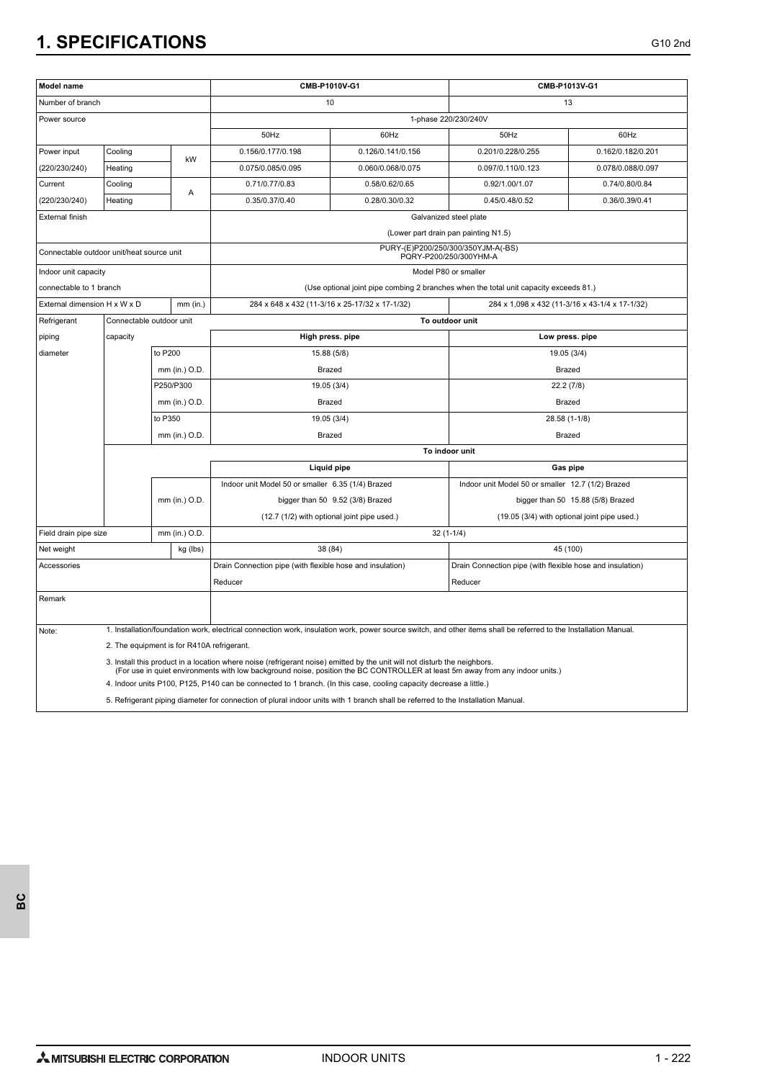| Model name                                |                                            |               |               | CMB-P1010V-G1                                                                                                                                                                                                                                       |                        | CMB-P1013V-G1                                                                                                                                                    |                   |  |
|-------------------------------------------|--------------------------------------------|---------------|---------------|-----------------------------------------------------------------------------------------------------------------------------------------------------------------------------------------------------------------------------------------------------|------------------------|------------------------------------------------------------------------------------------------------------------------------------------------------------------|-------------------|--|
| Number of branch                          |                                            |               |               | 10                                                                                                                                                                                                                                                  |                        | 13                                                                                                                                                               |                   |  |
| Power source                              |                                            |               |               |                                                                                                                                                                                                                                                     |                        | 1-phase 220/230/240V                                                                                                                                             |                   |  |
|                                           |                                            |               |               | 50Hz                                                                                                                                                                                                                                                | 60Hz                   | 50Hz                                                                                                                                                             | 60Hz              |  |
| Power input                               | Cooling                                    |               |               | 0.156/0.177/0.198                                                                                                                                                                                                                                   | 0.126/0.141/0.156      | 0.201/0.228/0.255                                                                                                                                                | 0.162/0.182/0.201 |  |
| (220/230/240)                             | Heating                                    |               | kW            | 0.075/0.085/0.095                                                                                                                                                                                                                                   | 0.060/0.068/0.075      | 0.097/0.110/0.123                                                                                                                                                | 0.078/0.088/0.097 |  |
| Current                                   | Cooling<br>A                               |               |               | 0.71/0.77/0.83                                                                                                                                                                                                                                      | 0.58/0.62/0.65         | 0.92/1.00/1.07                                                                                                                                                   | 0.74/0.80/0.84    |  |
| (220/230/240)                             | Heating                                    |               |               | 0.35/0.37/0.40                                                                                                                                                                                                                                      | 0.28/0.30/0.32         | 0.45/0.48/0.52                                                                                                                                                   | 0.36/0.39/0.41    |  |
| <b>External finish</b>                    |                                            |               |               |                                                                                                                                                                                                                                                     | Galvanized steel plate |                                                                                                                                                                  |                   |  |
|                                           |                                            |               |               |                                                                                                                                                                                                                                                     |                        | (Lower part drain pan painting N1.5)                                                                                                                             |                   |  |
| Connectable outdoor unit/heat source unit |                                            |               |               |                                                                                                                                                                                                                                                     |                        | PURY-(E)P200/250/300/350YJM-A(-BS)<br>PQRY-P200/250/300YHM-A                                                                                                     |                   |  |
| Indoor unit capacity                      |                                            |               |               |                                                                                                                                                                                                                                                     |                        | Model P80 or smaller                                                                                                                                             |                   |  |
| connectable to 1 branch                   |                                            |               |               |                                                                                                                                                                                                                                                     |                        | (Use optional joint pipe combing 2 branches when the total unit capacity exceeds 81.)                                                                            |                   |  |
| External dimension H x W x D              |                                            |               | $mm$ (in.)    | 284 x 648 x 432 (11-3/16 x 25-17/32 x 17-1/32)                                                                                                                                                                                                      |                        | 284 x 1,098 x 432 (11-3/16 x 43-1/4 x 17-1/32)                                                                                                                   |                   |  |
| Refrigerant                               | Connectable outdoor unit                   |               |               |                                                                                                                                                                                                                                                     |                        | To outdoor unit                                                                                                                                                  |                   |  |
| piping                                    | capacity                                   |               |               | High press. pipe                                                                                                                                                                                                                                    |                        | Low press. pipe                                                                                                                                                  |                   |  |
| diameter                                  |                                            | to P200       |               | 15.88 (5/8)                                                                                                                                                                                                                                         |                        | 19.05 (3/4)                                                                                                                                                      |                   |  |
|                                           |                                            | mm (in.) O.D. |               | <b>Brazed</b>                                                                                                                                                                                                                                       |                        | <b>Brazed</b>                                                                                                                                                    |                   |  |
|                                           |                                            | P250/P300     |               | 19.05 (3/4)                                                                                                                                                                                                                                         |                        | 22.2 (7/8)                                                                                                                                                       |                   |  |
|                                           |                                            | mm (in.) O.D. |               | <b>Brazed</b>                                                                                                                                                                                                                                       |                        | <b>Brazed</b>                                                                                                                                                    |                   |  |
|                                           |                                            | to P350       |               | 19.05 (3/4)                                                                                                                                                                                                                                         |                        | 28.58 (1-1/8)                                                                                                                                                    |                   |  |
|                                           |                                            | mm (in.) O.D  |               | <b>Brazed</b><br><b>Brazed</b>                                                                                                                                                                                                                      |                        |                                                                                                                                                                  |                   |  |
|                                           |                                            |               |               | To indoor unit                                                                                                                                                                                                                                      |                        |                                                                                                                                                                  |                   |  |
|                                           |                                            |               |               | <b>Liquid pipe</b>                                                                                                                                                                                                                                  |                        | Gas pipe                                                                                                                                                         |                   |  |
|                                           |                                            |               |               | Indoor unit Model 50 or smaller 6.35 (1/4) Brazed<br>Indoor unit Model 50 or smaller 12.7 (1/2) Brazed                                                                                                                                              |                        |                                                                                                                                                                  |                   |  |
|                                           |                                            |               | mm (in.) O.D. | bigger than 50 9.52 (3/8) Brazed                                                                                                                                                                                                                    |                        | bigger than 50 15.88 (5/8) Brazed                                                                                                                                |                   |  |
|                                           |                                            |               |               | (12.7 (1/2) with optional joint pipe used.)<br>(19.05 (3/4) with optional joint pipe used.)                                                                                                                                                         |                        |                                                                                                                                                                  |                   |  |
| Field drain pipe size                     |                                            | mm (in.) O.D. |               |                                                                                                                                                                                                                                                     |                        | $32(1-1/4)$                                                                                                                                                      |                   |  |
| Net weight                                |                                            |               | kg (lbs)      | 38 (84)                                                                                                                                                                                                                                             |                        | 45 (100)                                                                                                                                                         |                   |  |
| Accessories                               |                                            |               |               | Drain Connection pipe (with flexible hose and insulation)                                                                                                                                                                                           |                        | Drain Connection pipe (with flexible hose and insulation)                                                                                                        |                   |  |
|                                           |                                            |               |               | Reducer                                                                                                                                                                                                                                             |                        | Reducer                                                                                                                                                          |                   |  |
| Remark                                    |                                            |               |               |                                                                                                                                                                                                                                                     |                        |                                                                                                                                                                  |                   |  |
| Note:                                     |                                            |               |               |                                                                                                                                                                                                                                                     |                        | 1. Installation/foundation work, electrical connection work, insulation work, power source switch, and other items shall be referred to the Installation Manual. |                   |  |
|                                           | 2. The equipment is for R410A refrigerant. |               |               |                                                                                                                                                                                                                                                     |                        |                                                                                                                                                                  |                   |  |
|                                           |                                            |               |               | 3. Install this product in a location where noise (refrigerant noise) emitted by the unit will not disturb the neighbors.                                                                                                                           |                        |                                                                                                                                                                  |                   |  |
|                                           |                                            |               |               | (For use in quiet environments with low background noise, position the BC CONTROLLER at least 5m away from any indoor units.)<br>4. Indoor units P100, P125, P140 can be connected to 1 branch. (In this case, cooling capacity decrease a little.) |                        |                                                                                                                                                                  |                   |  |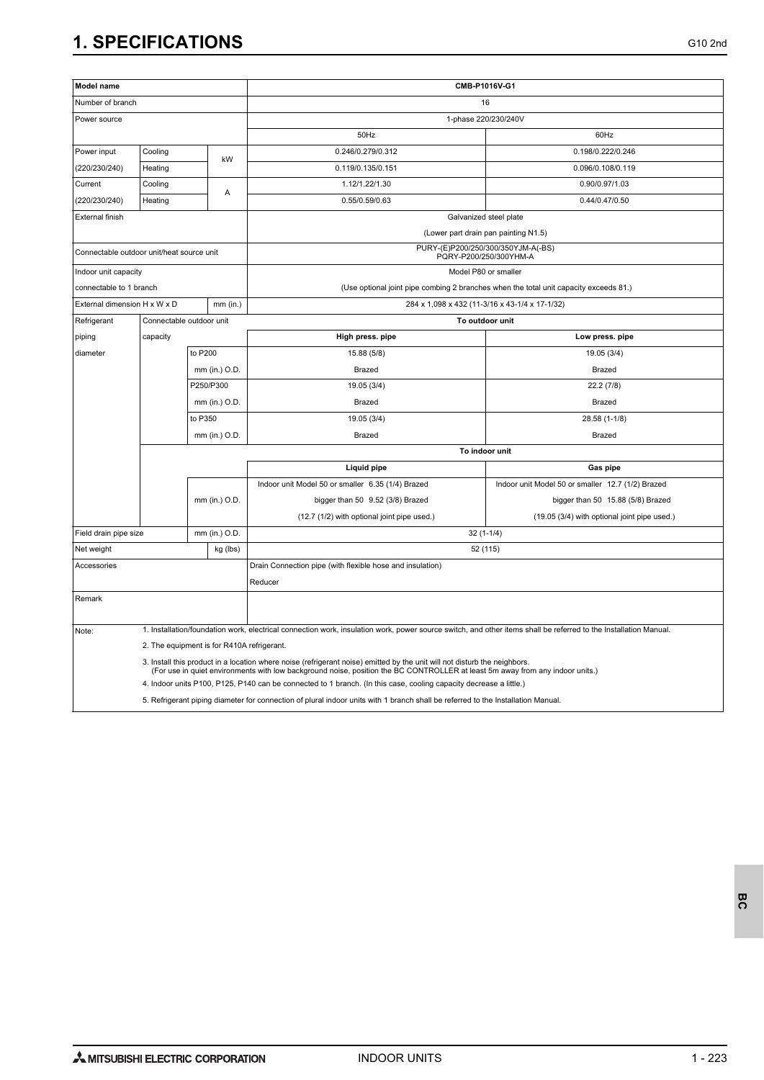| Model name                                |                                            |               |                   | CMB-P1016V-G1                                                                                                                                                    |                                                                                       |  |  |
|-------------------------------------------|--------------------------------------------|---------------|-------------------|------------------------------------------------------------------------------------------------------------------------------------------------------------------|---------------------------------------------------------------------------------------|--|--|
| Number of branch                          |                                            |               |                   | 16                                                                                                                                                               |                                                                                       |  |  |
| Power source                              |                                            |               |                   | 1-phase 220/230/240V                                                                                                                                             |                                                                                       |  |  |
|                                           |                                            |               |                   | 50Hz                                                                                                                                                             | 60Hz                                                                                  |  |  |
| Power input<br>Cooling                    |                                            |               | 0.246/0.279/0.312 | 0.198/0.222/0.246                                                                                                                                                |                                                                                       |  |  |
| (220/230/240)                             | Heating                                    | kW            |                   | 0.119/0.135/0.151                                                                                                                                                | 0.096/0.108/0.119                                                                     |  |  |
| Current                                   | Cooling                                    |               |                   | 1.12/1.22/1.30                                                                                                                                                   | 0.90/0.97/1.03                                                                        |  |  |
| (220/230/240)                             | Heating                                    |               | Α                 | 0.55/0.59/0.63                                                                                                                                                   | 0.44/0.47/0.50                                                                        |  |  |
| <b>External finish</b>                    |                                            |               |                   | Galvanized steel plate                                                                                                                                           |                                                                                       |  |  |
|                                           |                                            |               |                   | (Lower part drain pan painting N1.5)                                                                                                                             |                                                                                       |  |  |
| Connectable outdoor unit/heat source unit |                                            |               |                   | PURY-(E)P200/250/300/350YJM-A(-BS)<br>PQRY-P200/250/300YHM-A                                                                                                     |                                                                                       |  |  |
| Indoor unit capacity                      |                                            |               |                   |                                                                                                                                                                  | Model P80 or smaller                                                                  |  |  |
| connectable to 1 branch                   |                                            |               |                   |                                                                                                                                                                  | (Use optional joint pipe combing 2 branches when the total unit capacity exceeds 81.) |  |  |
| External dimension H x W x D              |                                            |               | $mm$ (in.)        | 284 x 1,098 x 432 (11-3/16 x 43-1/4 x 17-1/32)                                                                                                                   |                                                                                       |  |  |
| Refrigerant                               | Connectable outdoor unit                   |               |                   | To outdoor unit                                                                                                                                                  |                                                                                       |  |  |
| piping                                    | capacity                                   |               |                   | High press. pipe                                                                                                                                                 | Low press. pipe                                                                       |  |  |
| diameter                                  |                                            | to P200       |                   | 15.88 (5/8)                                                                                                                                                      | 19.05 (3/4)                                                                           |  |  |
|                                           |                                            |               | mm (in.) O.D.     | <b>Brazed</b>                                                                                                                                                    | <b>Brazed</b>                                                                         |  |  |
|                                           |                                            | P250/P300     |                   | 19.05 (3/4)                                                                                                                                                      | 22.2(7/8)                                                                             |  |  |
|                                           |                                            |               | mm (in.) O.D.     | Brazed                                                                                                                                                           | <b>Brazed</b>                                                                         |  |  |
|                                           |                                            | to P350       |                   | 19.05 (3/4)                                                                                                                                                      | 28.58 (1-1/8)                                                                         |  |  |
|                                           |                                            | mm (in.) O.D. |                   | Brazed                                                                                                                                                           | <b>Brazed</b>                                                                         |  |  |
|                                           |                                            |               |                   | To indoor unit                                                                                                                                                   |                                                                                       |  |  |
|                                           |                                            |               |                   | Liquid pipe                                                                                                                                                      | Gas pipe                                                                              |  |  |
|                                           |                                            |               |                   | Indoor unit Model 50 or smaller 6.35 (1/4) Brazed                                                                                                                | Indoor unit Model 50 or smaller 12.7 (1/2) Brazed                                     |  |  |
|                                           |                                            |               | mm (in.) O.D.     | bigger than 50 9.52 (3/8) Brazed                                                                                                                                 | bigger than 50 15.88 (5/8) Brazed                                                     |  |  |
|                                           |                                            |               |                   | (12.7 (1/2) with optional joint pipe used.)                                                                                                                      | (19.05 (3/4) with optional joint pipe used.)                                          |  |  |
| Field drain pipe size                     |                                            |               | mm (in.) O.D.     | $32(1-1/4)$                                                                                                                                                      |                                                                                       |  |  |
| Net weight                                |                                            |               | kg (lbs)          | 52 (115)                                                                                                                                                         |                                                                                       |  |  |
| Accessories                               |                                            |               |                   | Drain Connection pipe (with flexible hose and insulation)                                                                                                        |                                                                                       |  |  |
|                                           |                                            |               |                   | Reducer                                                                                                                                                          |                                                                                       |  |  |
| Remark                                    |                                            |               |                   |                                                                                                                                                                  |                                                                                       |  |  |
| Note:                                     |                                            |               |                   | 1. Installation/foundation work, electrical connection work, insulation work, power source switch, and other items shall be referred to the Installation Manual. |                                                                                       |  |  |
|                                           | 2. The equipment is for R410A refrigerant. |               |                   |                                                                                                                                                                  |                                                                                       |  |  |
|                                           |                                            |               |                   | 3. Install this product in a location where noise (refrigerant noise) emitted by the unit will not disturb the neighbors.                                        |                                                                                       |  |  |
|                                           |                                            |               |                   | (For use in quiet environments with low background noise, position the BC CONTROLLER at least 5m away from any indoor units.)                                    |                                                                                       |  |  |
|                                           |                                            |               |                   | 4. Indoor units P100, P125, P140 can be connected to 1 branch. (In this case, cooling capacity decrease a little.)                                               |                                                                                       |  |  |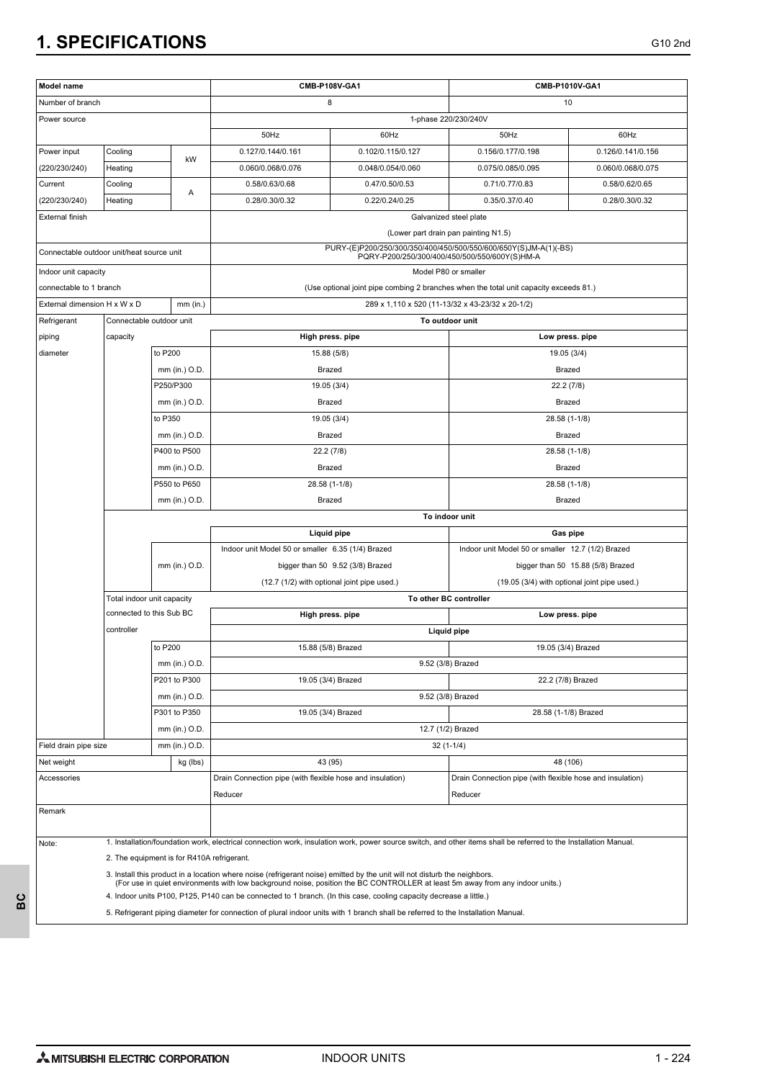| Model name                                |                            |                                            |                                                                                                                                                                                                                                                            | CMB-P108V-GA1                                                                                                                   | CMB-P1010V-GA1                                                                        |                                   |  |  |
|-------------------------------------------|----------------------------|--------------------------------------------|------------------------------------------------------------------------------------------------------------------------------------------------------------------------------------------------------------------------------------------------------------|---------------------------------------------------------------------------------------------------------------------------------|---------------------------------------------------------------------------------------|-----------------------------------|--|--|
| Number of branch                          |                            |                                            |                                                                                                                                                                                                                                                            | 8                                                                                                                               |                                                                                       | 10                                |  |  |
| Power source                              |                            |                                            |                                                                                                                                                                                                                                                            |                                                                                                                                 | 1-phase 220/230/240V                                                                  |                                   |  |  |
|                                           |                            | 50Hz                                       | 60Hz                                                                                                                                                                                                                                                       | 50Hz                                                                                                                            | 60Hz                                                                                  |                                   |  |  |
| Power input                               | Cooling                    |                                            | 0.127/0.144/0.161                                                                                                                                                                                                                                          | 0.102/0.115/0.127                                                                                                               | 0.156/0.177/0.198                                                                     | 0.126/0.141/0.156                 |  |  |
| (220/230/240)                             | Heating                    | kW                                         | 0.060/0.068/0.076                                                                                                                                                                                                                                          | 0.048/0.054/0.060                                                                                                               | 0.075/0.085/0.095                                                                     | 0.060/0.068/0.075                 |  |  |
| Current                                   | Cooling                    |                                            | 0.58/0.63/0.68                                                                                                                                                                                                                                             | 0.47/0.50/0.53                                                                                                                  | 0.71/0.77/0.83                                                                        | 0.58/0.62/0.65                    |  |  |
| (220/230/240)                             | Heating                    | Α                                          | 0.28/0.30/0.32                                                                                                                                                                                                                                             | 0.22/0.24/0.25                                                                                                                  | 0.35/0.37/0.40                                                                        | 0.28/0.30/0.32                    |  |  |
| External finish                           |                            |                                            |                                                                                                                                                                                                                                                            |                                                                                                                                 | Galvanized steel plate                                                                |                                   |  |  |
|                                           |                            |                                            |                                                                                                                                                                                                                                                            |                                                                                                                                 | (Lower part drain pan painting N1.5)                                                  |                                   |  |  |
| Connectable outdoor unit/heat source unit |                            |                                            |                                                                                                                                                                                                                                                            | PURY-(E)P200/250/300/350/400/450/500/550/600/650Y(S)JM-A(1)(-BS)<br>PQRY-P200/250/300/400/450/500/550/600Y(S)HM-A               |                                                                                       |                                   |  |  |
| Indoor unit capacity                      |                            |                                            |                                                                                                                                                                                                                                                            |                                                                                                                                 | Model P80 or smaller                                                                  |                                   |  |  |
| connectable to 1 branch                   |                            |                                            |                                                                                                                                                                                                                                                            |                                                                                                                                 | (Use optional joint pipe combing 2 branches when the total unit capacity exceeds 81.) |                                   |  |  |
| External dimension H x W x D              |                            | $mm$ (in.)                                 |                                                                                                                                                                                                                                                            |                                                                                                                                 | 289 x 1,110 x 520 (11-13/32 x 43-23/32 x 20-1/2)                                      |                                   |  |  |
| Refrigerant                               | Connectable outdoor unit   |                                            |                                                                                                                                                                                                                                                            |                                                                                                                                 | To outdoor unit                                                                       |                                   |  |  |
| piping                                    | capacity                   |                                            |                                                                                                                                                                                                                                                            | High press. pipe                                                                                                                | Low press. pipe                                                                       |                                   |  |  |
| diameter                                  |                            | to P200                                    |                                                                                                                                                                                                                                                            | 15.88 (5/8)                                                                                                                     | 19.05 (3/4)                                                                           |                                   |  |  |
|                                           |                            | mm (in.) O.D.                              |                                                                                                                                                                                                                                                            | Brazed                                                                                                                          | Brazed                                                                                |                                   |  |  |
|                                           |                            | P250/P300                                  |                                                                                                                                                                                                                                                            | 19.05 (3/4)                                                                                                                     | 22.2 (7/8)                                                                            |                                   |  |  |
|                                           |                            | mm (in.) O.D.                              |                                                                                                                                                                                                                                                            | Brazed                                                                                                                          | Brazed                                                                                |                                   |  |  |
|                                           |                            | to P350                                    |                                                                                                                                                                                                                                                            | 19.05 (3/4)                                                                                                                     |                                                                                       | 28.58 (1-1/8)                     |  |  |
|                                           |                            | mm (in.) O.D.                              | Brazed                                                                                                                                                                                                                                                     |                                                                                                                                 | Brazed                                                                                |                                   |  |  |
|                                           |                            | P400 to P500                               | 22.2 (7/8)                                                                                                                                                                                                                                                 |                                                                                                                                 | 28.58 (1-1/8)                                                                         |                                   |  |  |
|                                           |                            | mm (in.) O.D.                              | Brazed                                                                                                                                                                                                                                                     |                                                                                                                                 | Brazed                                                                                |                                   |  |  |
|                                           |                            | P550 to P650                               |                                                                                                                                                                                                                                                            | 28.58 (1-1/8)                                                                                                                   |                                                                                       | 28.58 (1-1/8)                     |  |  |
|                                           | mm (in.) O.D.              |                                            |                                                                                                                                                                                                                                                            | Brazed                                                                                                                          | Brazed                                                                                |                                   |  |  |
|                                           |                            |                                            |                                                                                                                                                                                                                                                            | To indoor unit<br>Gas pipe                                                                                                      |                                                                                       |                                   |  |  |
|                                           |                            |                                            |                                                                                                                                                                                                                                                            | <b>Liquid pipe</b><br>Indoor unit Model 50 or smaller 6.35 (1/4) Brazed                                                         |                                                                                       |                                   |  |  |
|                                           |                            |                                            |                                                                                                                                                                                                                                                            |                                                                                                                                 | Indoor unit Model 50 or smaller 12.7 (1/2) Brazed                                     |                                   |  |  |
|                                           |                            | mm (in.) O.D.                              |                                                                                                                                                                                                                                                            | bigger than 50 9.52 (3/8) Brazed<br>(12.7 (1/2) with optional joint pipe used.)<br>(19.05 (3/4) with optional joint pipe used.) |                                                                                       | bigger than 50 15.88 (5/8) Brazed |  |  |
|                                           | Total indoor unit capacity |                                            |                                                                                                                                                                                                                                                            | To other BC controller                                                                                                          |                                                                                       |                                   |  |  |
|                                           | connected to this Sub BC   |                                            | High press. pipe<br>Low press. pipe                                                                                                                                                                                                                        |                                                                                                                                 |                                                                                       |                                   |  |  |
|                                           | controller                 |                                            | <b>Liquid pipe</b>                                                                                                                                                                                                                                         |                                                                                                                                 |                                                                                       |                                   |  |  |
|                                           |                            | to P200                                    | 19.05 (3/4) Brazed<br>15.88 (5/8) Brazed                                                                                                                                                                                                                   |                                                                                                                                 |                                                                                       |                                   |  |  |
|                                           |                            | mm (in.) O.D.                              |                                                                                                                                                                                                                                                            |                                                                                                                                 | 9.52 (3/8) Brazed                                                                     |                                   |  |  |
|                                           |                            | P201 to P300                               |                                                                                                                                                                                                                                                            | 19.05 (3/4) Brazed<br>22.2 (7/8) Brazed                                                                                         |                                                                                       |                                   |  |  |
|                                           |                            | mm (in.) O.D.                              |                                                                                                                                                                                                                                                            |                                                                                                                                 | 9.52 (3/8) Brazed                                                                     |                                   |  |  |
|                                           |                            | P301 to P350                               |                                                                                                                                                                                                                                                            | 19.05 (3/4) Brazed                                                                                                              | 28.58 (1-1/8) Brazed                                                                  |                                   |  |  |
|                                           |                            | mm (in.) O.D.                              |                                                                                                                                                                                                                                                            |                                                                                                                                 | 12.7 (1/2) Brazed                                                                     |                                   |  |  |
| Field drain pipe size                     |                            | mm (in.) O.D.                              |                                                                                                                                                                                                                                                            |                                                                                                                                 | $32(1-1/4)$                                                                           |                                   |  |  |
| Net weight                                |                            | kg (lbs)                                   |                                                                                                                                                                                                                                                            | 43 (95)                                                                                                                         |                                                                                       | 48 (106)                          |  |  |
| Accessories                               |                            |                                            | Drain Connection pipe (with flexible hose and insulation)                                                                                                                                                                                                  |                                                                                                                                 | Drain Connection pipe (with flexible hose and insulation)                             |                                   |  |  |
|                                           |                            |                                            | Reducer                                                                                                                                                                                                                                                    |                                                                                                                                 | Reducer                                                                               |                                   |  |  |
| Remark                                    |                            |                                            |                                                                                                                                                                                                                                                            |                                                                                                                                 |                                                                                       |                                   |  |  |
|                                           |                            |                                            |                                                                                                                                                                                                                                                            |                                                                                                                                 |                                                                                       |                                   |  |  |
| Note:                                     |                            |                                            | 1. Installation/foundation work, electrical connection work, insulation work, power source switch, and other items shall be referred to the Installation Manual.                                                                                           |                                                                                                                                 |                                                                                       |                                   |  |  |
|                                           |                            | 2. The equipment is for R410A refrigerant. |                                                                                                                                                                                                                                                            |                                                                                                                                 |                                                                                       |                                   |  |  |
|                                           |                            |                                            | 3. Install this product in a location where noise (refrigerant noise) emitted by the unit will not disturb the neighbors.<br>(For use in quiet environments with low background noise, position the BC CONTROLLER at least 5m away from any indoor units.) |                                                                                                                                 |                                                                                       |                                   |  |  |
|                                           |                            |                                            | 4. Indoor units P100, P125, P140 can be connected to 1 branch. (In this case, cooling capacity decrease a little.)                                                                                                                                         |                                                                                                                                 |                                                                                       |                                   |  |  |
|                                           |                            |                                            | 5. Refrigerant piping diameter for connection of plural indoor units with 1 branch shall be referred to the Installation Manual.                                                                                                                           |                                                                                                                                 |                                                                                       |                                   |  |  |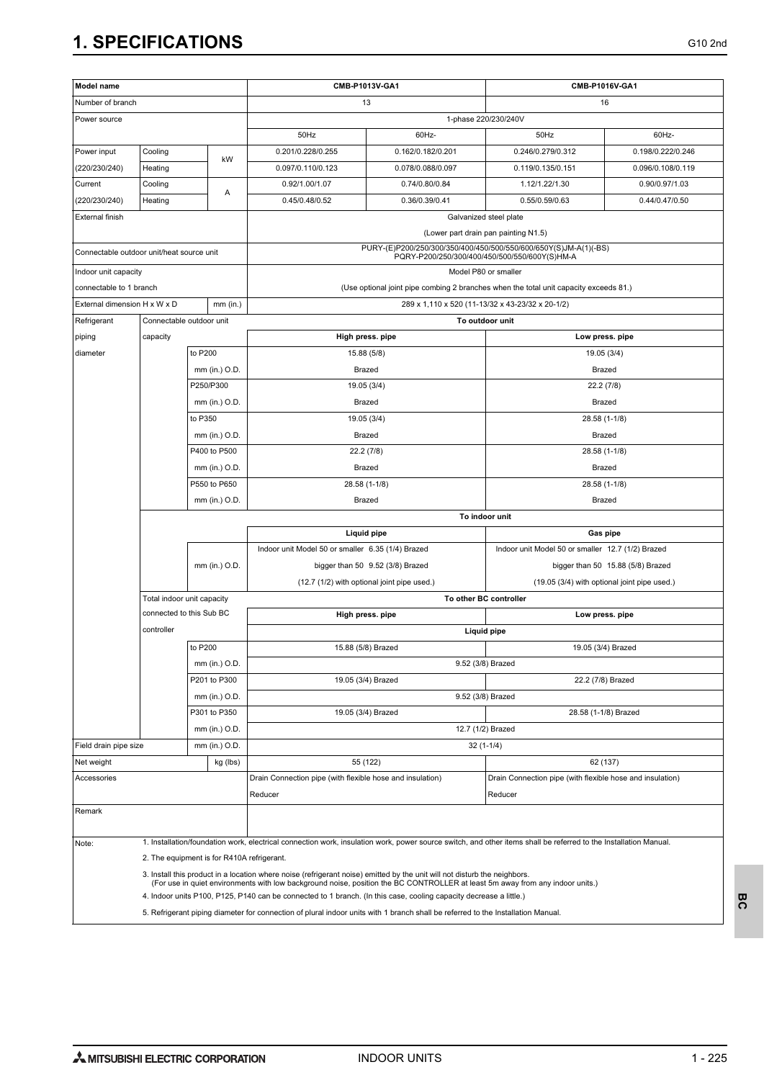| Model name                                |                                        |                                            |                                                                                                                                                                                                                                                     | CMB-P1013V-GA1                   | CMB-P1016V-GA1                                                                                                    |                                   |  |  |
|-------------------------------------------|----------------------------------------|--------------------------------------------|-----------------------------------------------------------------------------------------------------------------------------------------------------------------------------------------------------------------------------------------------------|----------------------------------|-------------------------------------------------------------------------------------------------------------------|-----------------------------------|--|--|
| Number of branch                          |                                        |                                            |                                                                                                                                                                                                                                                     | 13                               | 16                                                                                                                |                                   |  |  |
| Power source                              |                                        |                                            |                                                                                                                                                                                                                                                     |                                  | 1-phase 220/230/240V                                                                                              |                                   |  |  |
|                                           |                                        | 50Hz                                       | 60Hz-                                                                                                                                                                                                                                               | 50Hz                             | 60Hz-                                                                                                             |                                   |  |  |
| Power input                               | Cooling                                |                                            | 0.201/0.228/0.255                                                                                                                                                                                                                                   | 0.162/0.182/0.201                | 0.246/0.279/0.312                                                                                                 | 0.198/0.222/0.246                 |  |  |
| (220/230/240)                             | Heating                                | kW                                         | 0.097/0.110/0.123                                                                                                                                                                                                                                   | 0.078/0.088/0.097                | 0.119/0.135/0.151                                                                                                 | 0.096/0.108/0.119                 |  |  |
| Current                                   | Cooling                                |                                            | 0.92/1.00/1.07                                                                                                                                                                                                                                      | 0.74/0.80/0.84                   | 1.12/1.22/1.30                                                                                                    | 0.90/0.97/1.03                    |  |  |
| (220/230/240)                             | Heating                                | Α                                          | 0.45/0.48/0.52                                                                                                                                                                                                                                      | 0.36/0.39/0.41                   | 0.55/0.59/0.63                                                                                                    | 0.44/0.47/0.50                    |  |  |
| <b>External finish</b>                    |                                        |                                            |                                                                                                                                                                                                                                                     |                                  | Galvanized steel plate                                                                                            |                                   |  |  |
|                                           |                                        |                                            |                                                                                                                                                                                                                                                     |                                  | (Lower part drain pan painting N1.5)                                                                              |                                   |  |  |
| Connectable outdoor unit/heat source unit |                                        |                                            |                                                                                                                                                                                                                                                     |                                  | PURY-(E)P200/250/300/350/400/450/500/550/600/650Y(S)JM-A(1)(-BS)<br>PQRY-P200/250/300/400/450/500/550/600Y(S)HM-A |                                   |  |  |
| Indoor unit capacity                      |                                        |                                            |                                                                                                                                                                                                                                                     |                                  | Model P80 or smaller                                                                                              |                                   |  |  |
| connectable to 1 branch                   |                                        |                                            |                                                                                                                                                                                                                                                     |                                  | (Use optional joint pipe combing 2 branches when the total unit capacity exceeds 81.)                             |                                   |  |  |
| External dimension H x W x D              |                                        | $mm$ (in.)                                 |                                                                                                                                                                                                                                                     |                                  | 289 x 1,110 x 520 (11-13/32 x 43-23/32 x 20-1/2)                                                                  |                                   |  |  |
| Refrigerant                               | Connectable outdoor unit               |                                            |                                                                                                                                                                                                                                                     |                                  | To outdoor unit                                                                                                   |                                   |  |  |
| piping                                    | capacity                               |                                            |                                                                                                                                                                                                                                                     | High press. pipe                 |                                                                                                                   | Low press. pipe                   |  |  |
| diameter                                  |                                        | to P200                                    |                                                                                                                                                                                                                                                     | 15.88 (5/8)                      |                                                                                                                   | 19.05 (3/4)                       |  |  |
|                                           |                                        | mm (in.) O.D.                              |                                                                                                                                                                                                                                                     | Brazed                           |                                                                                                                   | Brazed                            |  |  |
|                                           |                                        | P250/P300                                  |                                                                                                                                                                                                                                                     | 19.05 (3/4)                      |                                                                                                                   | 22.2 (7/8)                        |  |  |
|                                           |                                        | mm (in.) O.D.                              |                                                                                                                                                                                                                                                     | Brazed                           |                                                                                                                   | Brazed                            |  |  |
|                                           |                                        | to P350                                    | 19.05 (3/4)                                                                                                                                                                                                                                         |                                  | 28.58 (1-1/8)                                                                                                     |                                   |  |  |
|                                           |                                        | mm (in.) O.D.                              | Brazed                                                                                                                                                                                                                                              |                                  | Brazed                                                                                                            |                                   |  |  |
|                                           |                                        | P400 to P500                               | 22.2 (7/8)                                                                                                                                                                                                                                          |                                  | 28.58 (1-1/8)                                                                                                     |                                   |  |  |
|                                           |                                        | mm (in.) O.D.                              | Brazed                                                                                                                                                                                                                                              |                                  | Brazed                                                                                                            |                                   |  |  |
|                                           | P550 to P650                           |                                            |                                                                                                                                                                                                                                                     | 28.58 (1-1/8)                    |                                                                                                                   | 28.58 (1-1/8)                     |  |  |
|                                           | mm (in.) O.D.                          |                                            |                                                                                                                                                                                                                                                     | Brazed                           |                                                                                                                   | Brazed                            |  |  |
|                                           |                                        |                                            | To indoor unit                                                                                                                                                                                                                                      |                                  |                                                                                                                   |                                   |  |  |
|                                           |                                        |                                            |                                                                                                                                                                                                                                                     | Liquid pipe                      |                                                                                                                   | Gas pipe                          |  |  |
|                                           |                                        |                                            | Indoor unit Model 50 or smaller 6.35 (1/4) Brazed                                                                                                                                                                                                   |                                  | Indoor unit Model 50 or smaller 12.7 (1/2) Brazed                                                                 |                                   |  |  |
|                                           |                                        | mm (in.) O.D.                              |                                                                                                                                                                                                                                                     | bigger than 50 9.52 (3/8) Brazed |                                                                                                                   | bigger than 50 15.88 (5/8) Brazed |  |  |
|                                           |                                        |                                            | (12.7 (1/2) with optional joint pipe used.)                                                                                                                                                                                                         |                                  | (19.05 (3/4) with optional joint pipe used.)                                                                      |                                   |  |  |
|                                           | Total indoor unit capacity             |                                            | To other BC controller                                                                                                                                                                                                                              |                                  |                                                                                                                   |                                   |  |  |
|                                           | connected to this Sub BC<br>controller |                                            | High press. pipe<br>Low press. pipe                                                                                                                                                                                                                 |                                  |                                                                                                                   |                                   |  |  |
|                                           |                                        |                                            | Liquid pipe                                                                                                                                                                                                                                         |                                  |                                                                                                                   |                                   |  |  |
|                                           |                                        | to P200                                    |                                                                                                                                                                                                                                                     | 15.88 (5/8) Brazed               |                                                                                                                   | 19.05 (3/4) Brazed                |  |  |
|                                           |                                        | mm (in.) O.D.<br>P201 to P300              |                                                                                                                                                                                                                                                     |                                  | 9.52 (3/8) Brazed<br>22.2 (7/8) Brazed                                                                            |                                   |  |  |
|                                           |                                        |                                            |                                                                                                                                                                                                                                                     | 19.05 (3/4) Brazed               | 9.52 (3/8) Brazed                                                                                                 |                                   |  |  |
|                                           |                                        | mm (in.) O.D.<br>P301 to P350              |                                                                                                                                                                                                                                                     | 19.05 (3/4) Brazed               |                                                                                                                   | 28.58 (1-1/8) Brazed              |  |  |
|                                           |                                        | mm (in.) O.D.                              |                                                                                                                                                                                                                                                     |                                  | 12.7 (1/2) Brazed                                                                                                 |                                   |  |  |
| Field drain pipe size                     |                                        | mm (in.) O.D.                              |                                                                                                                                                                                                                                                     |                                  | $32(1-1/4)$                                                                                                       |                                   |  |  |
| Net weight                                |                                        | kg (lbs)                                   |                                                                                                                                                                                                                                                     | 55 (122)                         |                                                                                                                   | 62 (137)                          |  |  |
| Accessories                               |                                        |                                            | Drain Connection pipe (with flexible hose and insulation)                                                                                                                                                                                           |                                  | Drain Connection pipe (with flexible hose and insulation)                                                         |                                   |  |  |
|                                           |                                        |                                            | Reducer                                                                                                                                                                                                                                             |                                  | Reducer                                                                                                           |                                   |  |  |
| Remark                                    |                                        |                                            |                                                                                                                                                                                                                                                     |                                  |                                                                                                                   |                                   |  |  |
|                                           |                                        |                                            |                                                                                                                                                                                                                                                     |                                  |                                                                                                                   |                                   |  |  |
| Note:                                     |                                        |                                            | 1. Installation/foundation work, electrical connection work, insulation work, power source switch, and other items shall be referred to the Installation Manual.                                                                                    |                                  |                                                                                                                   |                                   |  |  |
|                                           |                                        | 2. The equipment is for R410A refrigerant. |                                                                                                                                                                                                                                                     |                                  |                                                                                                                   |                                   |  |  |
|                                           |                                        |                                            | 3. Install this product in a location where noise (refrigerant noise) emitted by the unit will not disturb the neighbors.                                                                                                                           |                                  |                                                                                                                   |                                   |  |  |
|                                           |                                        |                                            | (For use in quiet environments with low background noise, position the BC CONTROLLER at least 5m away from any indoor units.)<br>4. Indoor units P100, P125, P140 can be connected to 1 branch. (In this case, cooling capacity decrease a little.) |                                  |                                                                                                                   |                                   |  |  |
|                                           |                                        |                                            | 5. Refrigerant piping diameter for connection of plural indoor units with 1 branch shall be referred to the Installation Manual.                                                                                                                    |                                  |                                                                                                                   |                                   |  |  |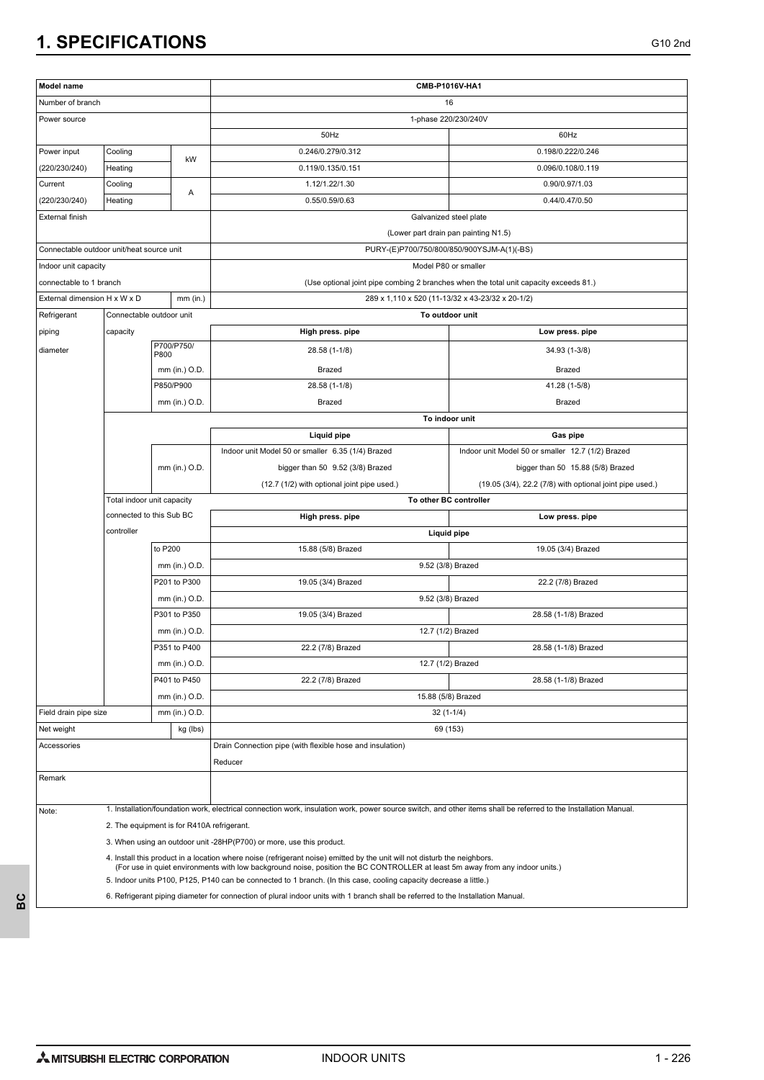| Model name                                                                                                                       |                            |                                            | CMB-P1016V-HA1                                                                                                                                                   |                                                                                       |  |  |  |
|----------------------------------------------------------------------------------------------------------------------------------|----------------------------|--------------------------------------------|------------------------------------------------------------------------------------------------------------------------------------------------------------------|---------------------------------------------------------------------------------------|--|--|--|
| Number of branch                                                                                                                 |                            |                                            | 16                                                                                                                                                               |                                                                                       |  |  |  |
| Power source                                                                                                                     |                            |                                            |                                                                                                                                                                  | 1-phase 220/230/240V                                                                  |  |  |  |
|                                                                                                                                  |                            |                                            | 50Hz                                                                                                                                                             | 60Hz                                                                                  |  |  |  |
| Power input                                                                                                                      | Cooling<br>kW              |                                            | 0.246/0.279/0.312                                                                                                                                                | 0.198/0.222/0.246                                                                     |  |  |  |
| (220/230/240)                                                                                                                    | Heating                    |                                            | 0.119/0.135/0.151                                                                                                                                                | 0.096/0.108/0.119                                                                     |  |  |  |
| Current                                                                                                                          | Cooling                    | Α                                          | 1.12/1.22/1.30                                                                                                                                                   | 0.90/0.97/1.03                                                                        |  |  |  |
| (220/230/240)                                                                                                                    | Heating                    |                                            | 0.55/0.59/0.63                                                                                                                                                   | 0.44/0.47/0.50                                                                        |  |  |  |
| External finish                                                                                                                  |                            |                                            | Galvanized steel plate                                                                                                                                           |                                                                                       |  |  |  |
|                                                                                                                                  |                            |                                            | (Lower part drain pan painting N1.5)                                                                                                                             |                                                                                       |  |  |  |
| Connectable outdoor unit/heat source unit                                                                                        |                            |                                            | PURY-(E)P700/750/800/850/900YSJM-A(1)(-BS)                                                                                                                       |                                                                                       |  |  |  |
| Indoor unit capacity                                                                                                             |                            |                                            |                                                                                                                                                                  | Model P80 or smaller                                                                  |  |  |  |
| connectable to 1 branch                                                                                                          |                            |                                            |                                                                                                                                                                  | (Use optional joint pipe combing 2 branches when the total unit capacity exceeds 81.) |  |  |  |
| External dimension H x W x D                                                                                                     |                            | $mm$ (in.)                                 | 289 x 1,110 x 520 (11-13/32 x 43-23/32 x 20-1/2)                                                                                                                 |                                                                                       |  |  |  |
| Refrigerant                                                                                                                      | Connectable outdoor unit   |                                            | To outdoor unit                                                                                                                                                  |                                                                                       |  |  |  |
| piping                                                                                                                           | capacity                   |                                            | High press. pipe                                                                                                                                                 | Low press. pipe                                                                       |  |  |  |
| diameter                                                                                                                         |                            | P700/P750/<br>P800                         | 28.58 (1-1/8)                                                                                                                                                    | 34.93 (1-3/8)                                                                         |  |  |  |
|                                                                                                                                  |                            | mm (in.) O.D.                              | Brazed                                                                                                                                                           | Brazed                                                                                |  |  |  |
|                                                                                                                                  |                            | P850/P900                                  | 28.58 (1-1/8)                                                                                                                                                    | 41.28 (1-5/8)                                                                         |  |  |  |
|                                                                                                                                  |                            | mm (in.) O.D.                              | Brazed                                                                                                                                                           | Brazed                                                                                |  |  |  |
|                                                                                                                                  |                            |                                            | To indoor unit                                                                                                                                                   |                                                                                       |  |  |  |
|                                                                                                                                  |                            |                                            | Liquid pipe                                                                                                                                                      | Gas pipe                                                                              |  |  |  |
|                                                                                                                                  |                            |                                            | Indoor unit Model 50 or smaller 6.35 (1/4) Brazed                                                                                                                | Indoor unit Model 50 or smaller 12.7 (1/2) Brazed                                     |  |  |  |
|                                                                                                                                  |                            | mm (in.) O.D.                              | bigger than 50 9.52 (3/8) Brazed                                                                                                                                 | bigger than 50 15.88 (5/8) Brazed                                                     |  |  |  |
|                                                                                                                                  |                            |                                            | (12.7 (1/2) with optional joint pipe used.)                                                                                                                      | (19.05 (3/4), 22.2 (7/8) with optional joint pipe used.)                              |  |  |  |
|                                                                                                                                  | Total indoor unit capacity |                                            |                                                                                                                                                                  | To other BC controller                                                                |  |  |  |
|                                                                                                                                  | connected to this Sub BC   |                                            | High press. pipe<br>Low press. pipe                                                                                                                              |                                                                                       |  |  |  |
|                                                                                                                                  | controller                 |                                            | Liquid pipe                                                                                                                                                      |                                                                                       |  |  |  |
|                                                                                                                                  |                            | to P200                                    | 15.88 (5/8) Brazed<br>19.05 (3/4) Brazed                                                                                                                         |                                                                                       |  |  |  |
|                                                                                                                                  |                            | mm (in.) O.D.                              |                                                                                                                                                                  | 9.52 (3/8) Brazed                                                                     |  |  |  |
|                                                                                                                                  |                            | P201 to P300                               | 19.05 (3/4) Brazed                                                                                                                                               | 22.2 (7/8) Brazed                                                                     |  |  |  |
|                                                                                                                                  |                            | mm (in.) O.D.                              |                                                                                                                                                                  | 9.52 (3/8) Brazed                                                                     |  |  |  |
|                                                                                                                                  |                            | P301 to P350                               | 19.05 (3/4) Brazed                                                                                                                                               | 28.58 (1-1/8) Brazed                                                                  |  |  |  |
|                                                                                                                                  |                            | mm (in.) O.D.                              |                                                                                                                                                                  | 12.7 (1/2) Brazed                                                                     |  |  |  |
|                                                                                                                                  |                            | P351 to P400                               | 22.2 (7/8) Brazed                                                                                                                                                | 28.58 (1-1/8) Brazed                                                                  |  |  |  |
|                                                                                                                                  |                            | mm (in.) O.D.                              |                                                                                                                                                                  | 12.7 (1/2) Brazed                                                                     |  |  |  |
|                                                                                                                                  |                            | P401 to P450                               | 22.2 (7/8) Brazed                                                                                                                                                | 28.58 (1-1/8) Brazed                                                                  |  |  |  |
|                                                                                                                                  |                            | mm (in.) O.D.                              | 15.88 (5/8) Brazed                                                                                                                                               |                                                                                       |  |  |  |
| Field drain pipe size                                                                                                            |                            | mm (in.) O.D.                              | $32(1-1/4)$                                                                                                                                                      |                                                                                       |  |  |  |
| Net weight                                                                                                                       |                            | kg (lbs)                                   | 69 (153)                                                                                                                                                         |                                                                                       |  |  |  |
| Accessories                                                                                                                      |                            |                                            | Drain Connection pipe (with flexible hose and insulation)                                                                                                        |                                                                                       |  |  |  |
|                                                                                                                                  |                            |                                            | Reducer                                                                                                                                                          |                                                                                       |  |  |  |
| Remark                                                                                                                           |                            |                                            |                                                                                                                                                                  |                                                                                       |  |  |  |
| Note:                                                                                                                            |                            |                                            | 1. Installation/foundation work, electrical connection work, insulation work, power source switch, and other items shall be referred to the Installation Manual. |                                                                                       |  |  |  |
|                                                                                                                                  |                            | 2. The equipment is for R410A refrigerant. |                                                                                                                                                                  |                                                                                       |  |  |  |
|                                                                                                                                  |                            |                                            | 3. When using an outdoor unit -28HP(P700) or more, use this product.                                                                                             |                                                                                       |  |  |  |
|                                                                                                                                  |                            |                                            | 4. Install this product in a location where noise (refrigerant noise) emitted by the unit will not disturb the neighbors.                                        |                                                                                       |  |  |  |
|                                                                                                                                  |                            |                                            | (For use in quiet environments with low background noise, position the BC CONTROLLER at least 5m away from any indoor units.)                                    |                                                                                       |  |  |  |
|                                                                                                                                  |                            |                                            | 5. Indoor units P100, P125, P140 can be connected to 1 branch. (In this case, cooling capacity decrease a little.)                                               |                                                                                       |  |  |  |
| 6. Refrigerant piping diameter for connection of plural indoor units with 1 branch shall be referred to the Installation Manual. |                            |                                            |                                                                                                                                                                  |                                                                                       |  |  |  |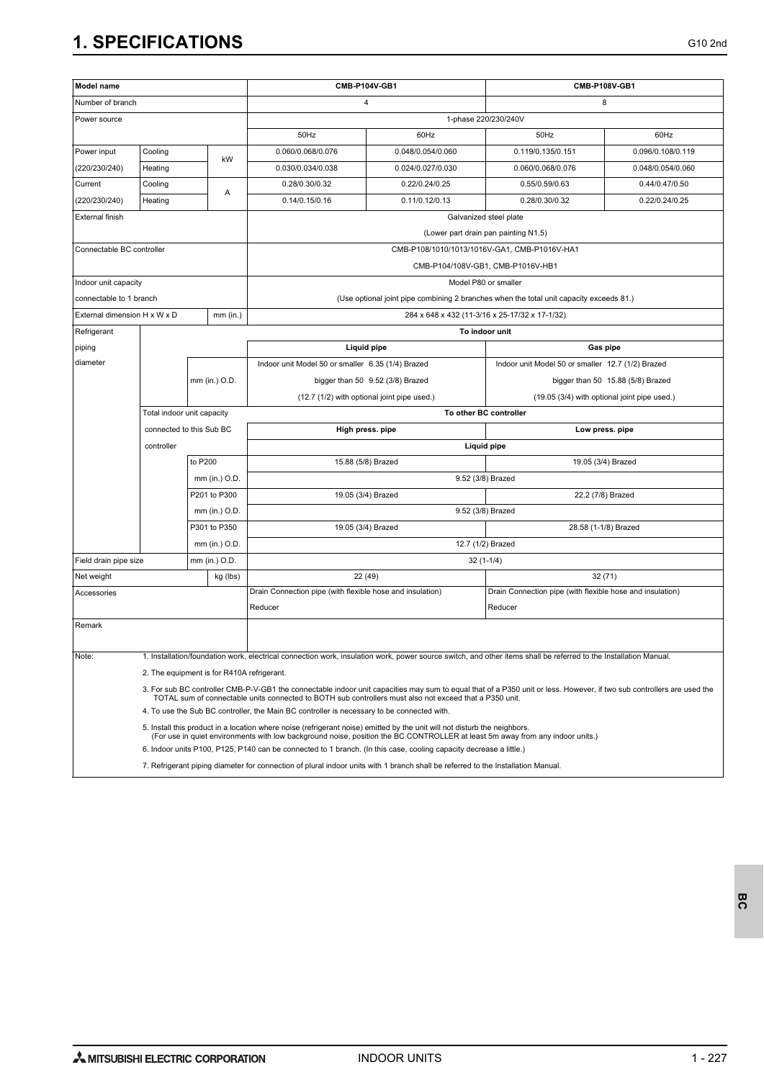| Model name                   |                                            |                          |               | CMB-P104V-GB1                                                                                                                                                                                                                                                                     |                        | CMB-P108V-GB1                                                                           |                                              |  |  |
|------------------------------|--------------------------------------------|--------------------------|---------------|-----------------------------------------------------------------------------------------------------------------------------------------------------------------------------------------------------------------------------------------------------------------------------------|------------------------|-----------------------------------------------------------------------------------------|----------------------------------------------|--|--|
| Number of branch             |                                            |                          |               | 4                                                                                                                                                                                                                                                                                 |                        |                                                                                         | 8                                            |  |  |
| Power source                 |                                            |                          |               | 1-phase 220/230/240V                                                                                                                                                                                                                                                              |                        |                                                                                         |                                              |  |  |
|                              |                                            |                          |               | 50Hz                                                                                                                                                                                                                                                                              | 60Hz                   | 50Hz                                                                                    | 60Hz                                         |  |  |
| Power input                  | Cooling<br>kW<br>Heating                   |                          |               | 0.060/0.068/0.076                                                                                                                                                                                                                                                                 | 0.048/0.054/0.060      | 0.119/0.135/0.151                                                                       | 0.096/0.108/0.119                            |  |  |
| (220/230/240)                |                                            |                          |               | 0.030/0.034/0.038                                                                                                                                                                                                                                                                 | 0.024/0.027/0.030      | 0.060/0.068/0.076                                                                       | 0.048/0.054/0.060                            |  |  |
| Current                      | Cooling                                    |                          |               | 0.28/0.30/0.32                                                                                                                                                                                                                                                                    | 0.22/0.24/0.25         | 0.55/0.59/0.63                                                                          | 0.44/0.47/0.50                               |  |  |
| (220/230/240)                | Heating                                    |                          | Α             | 0.14/0.15/0.16                                                                                                                                                                                                                                                                    | 0.11/0.12/0.13         |                                                                                         | 0.22/0.24/0.25                               |  |  |
| External finish              |                                            |                          |               |                                                                                                                                                                                                                                                                                   | Galvanized steel plate |                                                                                         |                                              |  |  |
|                              |                                            |                          |               | (Lower part drain pan painting N1.5)                                                                                                                                                                                                                                              |                        |                                                                                         |                                              |  |  |
| Connectable BC controller    |                                            |                          |               | CMB-P108/1010/1013/1016V-GA1, CMB-P1016V-HA1                                                                                                                                                                                                                                      |                        |                                                                                         |                                              |  |  |
|                              |                                            |                          |               |                                                                                                                                                                                                                                                                                   |                        | CMB-P104/108V-GB1, CMB-P1016V-HB1                                                       |                                              |  |  |
| Indoor unit capacity         |                                            |                          |               |                                                                                                                                                                                                                                                                                   |                        | Model P80 or smaller                                                                    |                                              |  |  |
| connectable to 1 branch      |                                            |                          |               |                                                                                                                                                                                                                                                                                   |                        | (Use optional joint pipe combining 2 branches when the total unit capacity exceeds 81.) |                                              |  |  |
| External dimension H x W x D |                                            |                          | $mm$ (in.)    |                                                                                                                                                                                                                                                                                   |                        | 284 x 648 x 432 (11-3/16 x 25-17/32 x 17-1/32)                                          |                                              |  |  |
| Refrigerant                  |                                            |                          |               |                                                                                                                                                                                                                                                                                   | To indoor unit         |                                                                                         |                                              |  |  |
| piping                       |                                            |                          |               |                                                                                                                                                                                                                                                                                   | Liquid pipe            |                                                                                         | Gas pipe                                     |  |  |
| diameter                     | mm (in.) O.D.                              |                          |               | Indoor unit Model 50 or smaller 6.35 (1/4) Brazed                                                                                                                                                                                                                                 |                        | Indoor unit Model 50 or smaller 12.7 (1/2) Brazed                                       |                                              |  |  |
|                              |                                            |                          |               | bigger than 50 9.52 (3/8) Brazed                                                                                                                                                                                                                                                  |                        | bigger than 50 15.88 (5/8) Brazed                                                       |                                              |  |  |
|                              |                                            |                          |               | (12.7 (1/2) with optional joint pipe used.)                                                                                                                                                                                                                                       |                        |                                                                                         | (19.05 (3/4) with optional joint pipe used.) |  |  |
|                              | Total indoor unit capacity                 |                          |               | To other BC controller                                                                                                                                                                                                                                                            |                        |                                                                                         |                                              |  |  |
|                              | connected to this Sub BC                   |                          |               | High press. pipe<br>Low press. pipe                                                                                                                                                                                                                                               |                        |                                                                                         |                                              |  |  |
|                              | controller                                 |                          |               | Liquid pipe                                                                                                                                                                                                                                                                       |                        |                                                                                         |                                              |  |  |
|                              |                                            | to P200<br>mm (in.) O.D. |               | 15.88 (5/8) Brazed<br>19.05 (3/4) Brazed                                                                                                                                                                                                                                          |                        |                                                                                         |                                              |  |  |
|                              |                                            |                          |               | 9.52 (3/8) Brazed                                                                                                                                                                                                                                                                 |                        |                                                                                         |                                              |  |  |
|                              |                                            |                          | P201 to P300  | 19.05 (3/4) Brazed<br>22.2 (7/8) Brazed                                                                                                                                                                                                                                           |                        |                                                                                         |                                              |  |  |
|                              |                                            | mm (in.) O.D.            |               | 9.52 (3/8) Brazed                                                                                                                                                                                                                                                                 |                        |                                                                                         |                                              |  |  |
|                              |                                            |                          | P301 to P350  | 19.05 (3/4) Brazed                                                                                                                                                                                                                                                                |                        |                                                                                         | 28.58 (1-1/8) Brazed                         |  |  |
|                              |                                            | mm (in.) O.D.            |               | 12.7 (1/2) Brazed                                                                                                                                                                                                                                                                 |                        |                                                                                         |                                              |  |  |
| Field drain pipe size        |                                            |                          | mm (in.) O.D. | $32(1-1/4)$                                                                                                                                                                                                                                                                       |                        |                                                                                         |                                              |  |  |
| Net weight                   |                                            |                          | kg (lbs)      | 22 (49)                                                                                                                                                                                                                                                                           |                        | 32(71)                                                                                  |                                              |  |  |
| Accessories                  |                                            |                          |               | Drain Connection pipe (with flexible hose and insulation)                                                                                                                                                                                                                         |                        | Drain Connection pipe (with flexible hose and insulation)                               |                                              |  |  |
|                              |                                            |                          |               | Reducer                                                                                                                                                                                                                                                                           |                        | Reducer                                                                                 |                                              |  |  |
| Remark                       |                                            |                          |               |                                                                                                                                                                                                                                                                                   |                        |                                                                                         |                                              |  |  |
| Note:                        |                                            |                          |               | 1. Installation/foundation work, electrical connection work, insulation work, power source switch, and other items shall be referred to the Installation Manual.                                                                                                                  |                        |                                                                                         |                                              |  |  |
|                              | 2. The equipment is for R410A refrigerant. |                          |               |                                                                                                                                                                                                                                                                                   |                        |                                                                                         |                                              |  |  |
|                              |                                            |                          |               | 3. For sub BC controller CMB-P-V-GB1 the connectable indoor unit capacities may sum to equal that of a P350 unit or less. However, if two sub controllers are used the<br>TOTAL sum of connectable units connected to BOTH sub controllers must also not exceed that a P350 unit. |                        |                                                                                         |                                              |  |  |
|                              |                                            |                          |               | 4. To use the Sub BC controller, the Main BC controller is necessary to be connected with.                                                                                                                                                                                        |                        |                                                                                         |                                              |  |  |
|                              |                                            |                          |               | 5. Install this product in a location where noise (refrigerant noise) emitted by the unit will not disturb the neighbors.<br>(For use in quiet environments with low background noise, position the BC CONTROLLER at least 5m away from any indoor units.)                        |                        |                                                                                         |                                              |  |  |
|                              |                                            |                          |               | 6. Indoor units P100, P125, P140 can be connected to 1 branch. (In this case, cooling capacity decrease a little.)                                                                                                                                                                |                        |                                                                                         |                                              |  |  |

7. Refrigerant piping diameter for connection of plural indoor units with 1 branch shall be referred to the Installation Manual.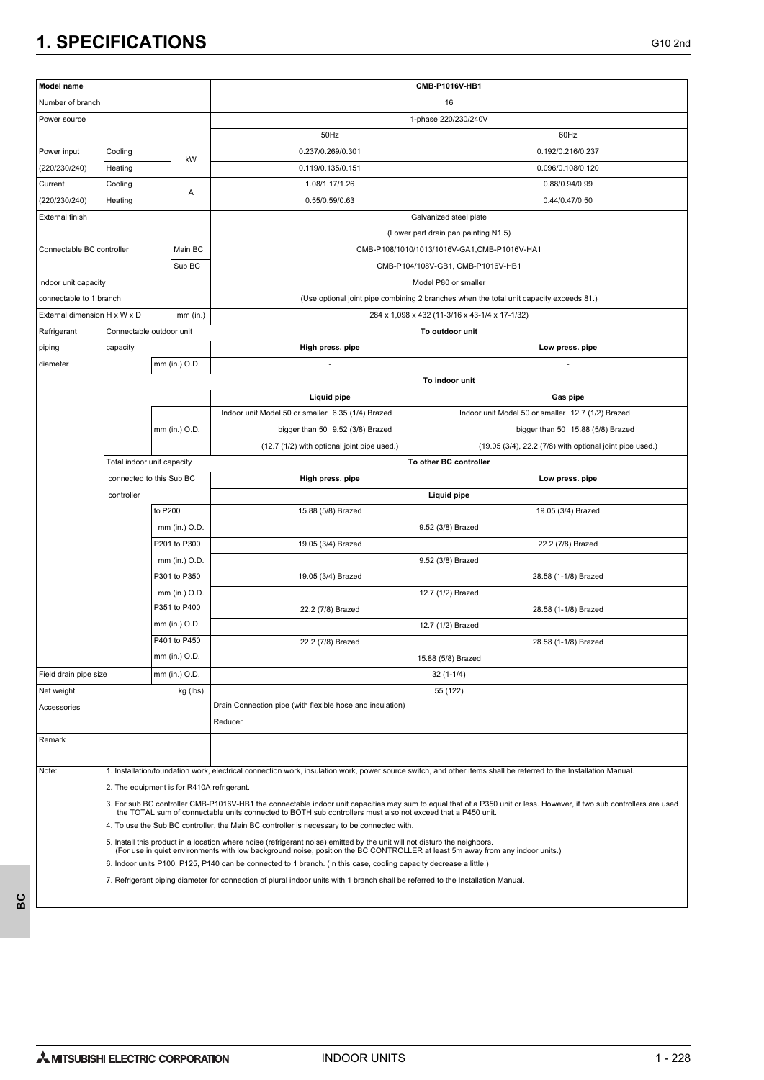| Model name                   |                                            |                               | CMB-P1016V-HB1                                                                                                                                                                                                                                             |                                                                                         |  |  |
|------------------------------|--------------------------------------------|-------------------------------|------------------------------------------------------------------------------------------------------------------------------------------------------------------------------------------------------------------------------------------------------------|-----------------------------------------------------------------------------------------|--|--|
| Number of branch             |                                            |                               | 16                                                                                                                                                                                                                                                         |                                                                                         |  |  |
| Power source                 |                                            |                               |                                                                                                                                                                                                                                                            | 1-phase 220/230/240V                                                                    |  |  |
|                              |                                            |                               | 50Hz                                                                                                                                                                                                                                                       | 60Hz                                                                                    |  |  |
| Power input                  | Cooling                                    |                               | 0.237/0.269/0.301                                                                                                                                                                                                                                          | 0.192/0.216/0.237                                                                       |  |  |
| (220/230/240)                | kW<br>Heating                              |                               | 0.119/0.135/0.151                                                                                                                                                                                                                                          | 0.096/0.108/0.120                                                                       |  |  |
| Current                      | Cooling<br>Α                               |                               | 1.08/1.17/1.26                                                                                                                                                                                                                                             | 0.88/0.94/0.99                                                                          |  |  |
| (220/230/240)                | Heating                                    |                               | 0.55/0.59/0.63                                                                                                                                                                                                                                             | 0.44/0.47/0.50                                                                          |  |  |
| External finish              |                                            |                               | Galvanized steel plate                                                                                                                                                                                                                                     |                                                                                         |  |  |
|                              |                                            |                               | (Lower part drain pan painting N1.5)                                                                                                                                                                                                                       |                                                                                         |  |  |
| Connectable BC controller    |                                            | Main BC                       | CMB-P108/1010/1013/1016V-GA1,CMB-P1016V-HA1                                                                                                                                                                                                                |                                                                                         |  |  |
|                              |                                            | Sub BC                        | CMB-P104/108V-GB1, CMB-P1016V-HB1                                                                                                                                                                                                                          |                                                                                         |  |  |
| Indoor unit capacity         |                                            |                               |                                                                                                                                                                                                                                                            | Model P80 or smaller                                                                    |  |  |
| connectable to 1 branch      |                                            |                               |                                                                                                                                                                                                                                                            | (Use optional joint pipe combining 2 branches when the total unit capacity exceeds 81.) |  |  |
| External dimension H x W x D |                                            | $mm$ (in.)                    |                                                                                                                                                                                                                                                            | 284 x 1,098 x 432 (11-3/16 x 43-1/4 x 17-1/32)                                          |  |  |
| Refrigerant                  | Connectable outdoor unit                   |                               |                                                                                                                                                                                                                                                            | To outdoor unit                                                                         |  |  |
| piping                       | capacity                                   |                               | High press. pipe                                                                                                                                                                                                                                           | Low press. pipe                                                                         |  |  |
| diameter                     |                                            | mm (in.) O.D.                 |                                                                                                                                                                                                                                                            |                                                                                         |  |  |
|                              |                                            |                               |                                                                                                                                                                                                                                                            | To indoor unit                                                                          |  |  |
|                              |                                            |                               | Liquid pipe                                                                                                                                                                                                                                                | Gas pipe                                                                                |  |  |
|                              |                                            |                               | Indoor unit Model 50 or smaller 6.35 (1/4) Brazed                                                                                                                                                                                                          | Indoor unit Model 50 or smaller 12.7 (1/2) Brazed                                       |  |  |
|                              | mm (in.) O.D.                              |                               | bigger than 50 9.52 (3/8) Brazed                                                                                                                                                                                                                           | bigger than 50 15.88 (5/8) Brazed                                                       |  |  |
|                              |                                            |                               | (12.7 (1/2) with optional joint pipe used.)                                                                                                                                                                                                                | (19.05 (3/4), 22.2 (7/8) with optional joint pipe used.)                                |  |  |
|                              | Total indoor unit capacity                 |                               |                                                                                                                                                                                                                                                            | To other BC controller                                                                  |  |  |
|                              | connected to this Sub BC                   |                               | High press. pipe                                                                                                                                                                                                                                           | Low press. pipe                                                                         |  |  |
|                              | controller                                 |                               |                                                                                                                                                                                                                                                            | Liquid pipe                                                                             |  |  |
|                              |                                            | to P200                       | 15.88 (5/8) Brazed                                                                                                                                                                                                                                         | 19.05 (3/4) Brazed                                                                      |  |  |
|                              |                                            | mm (in.) O.D.                 |                                                                                                                                                                                                                                                            | 9.52 (3/8) Brazed                                                                       |  |  |
|                              |                                            | P201 to P300                  | 19.05 (3/4) Brazed                                                                                                                                                                                                                                         | 22.2 (7/8) Brazed                                                                       |  |  |
|                              |                                            | mm (in.) O.D.                 |                                                                                                                                                                                                                                                            | 9.52 (3/8) Brazed                                                                       |  |  |
|                              |                                            | P301 to P350                  | 19.05 (3/4) Brazed                                                                                                                                                                                                                                         | 28.58 (1-1/8) Brazed                                                                    |  |  |
|                              |                                            | mm (in.) O.D.<br>P351 to P400 |                                                                                                                                                                                                                                                            | 12.7 (1/2) Brazed                                                                       |  |  |
|                              |                                            |                               | 22.2 (7/8) Brazed                                                                                                                                                                                                                                          | 28.58 (1-1/8) Brazed                                                                    |  |  |
|                              |                                            | mm (in.) O.D.<br>P401 to P450 |                                                                                                                                                                                                                                                            | 12.7 (1/2) Brazed                                                                       |  |  |
|                              |                                            | mm (in.) O.D.                 | 22.2 (7/8) Brazed                                                                                                                                                                                                                                          | 28.58 (1-1/8) Brazed                                                                    |  |  |
|                              |                                            |                               |                                                                                                                                                                                                                                                            | 15.88 (5/8) Brazed                                                                      |  |  |
| Field drain pipe size        |                                            | mm (in.) O.D.                 | $32(1-1/4)$                                                                                                                                                                                                                                                |                                                                                         |  |  |
| Net weight                   |                                            | kg (lbs)                      | 55 (122)                                                                                                                                                                                                                                                   |                                                                                         |  |  |
| Accessories                  |                                            |                               | Drain Connection pipe (with flexible hose and insulation)<br>Reducer                                                                                                                                                                                       |                                                                                         |  |  |
| Remark                       |                                            |                               |                                                                                                                                                                                                                                                            |                                                                                         |  |  |
|                              |                                            |                               |                                                                                                                                                                                                                                                            |                                                                                         |  |  |
| Note:                        |                                            |                               | 1. Installation/foundation work, electrical connection work, insulation work, power source switch, and other items shall be referred to the Installation Manual.                                                                                           |                                                                                         |  |  |
|                              | 2. The equipment is for R410A refrigerant. |                               |                                                                                                                                                                                                                                                            |                                                                                         |  |  |
|                              |                                            |                               | 3. For sub BC controller CMB-P1016V-HB1 the connectable indoor unit capacities may sum to equal that of a P350 unit or less. However, if two sub controllers are used                                                                                      |                                                                                         |  |  |
|                              |                                            |                               | the TOTAL sum of connectable units connected to BOTH sub controllers must also not exceed that a P450 unit.                                                                                                                                                |                                                                                         |  |  |
|                              |                                            |                               | 4. To use the Sub BC controller, the Main BC controller is necessary to be connected with.                                                                                                                                                                 |                                                                                         |  |  |
|                              |                                            |                               | 5. Install this product in a location where noise (refrigerant noise) emitted by the unit will not disturb the neighbors.<br>(For use in quiet environments with low background noise, position the BC CONTROLLER at least 5m away from any indoor units.) |                                                                                         |  |  |
|                              |                                            |                               | 6. Indoor units P100, P125, P140 can be connected to 1 branch. (In this case, cooling capacity decrease a little.)                                                                                                                                         |                                                                                         |  |  |
|                              |                                            |                               | 7. Refrigerant piping diameter for connection of plural indoor units with 1 branch shall be referred to the Installation Manual.                                                                                                                           |                                                                                         |  |  |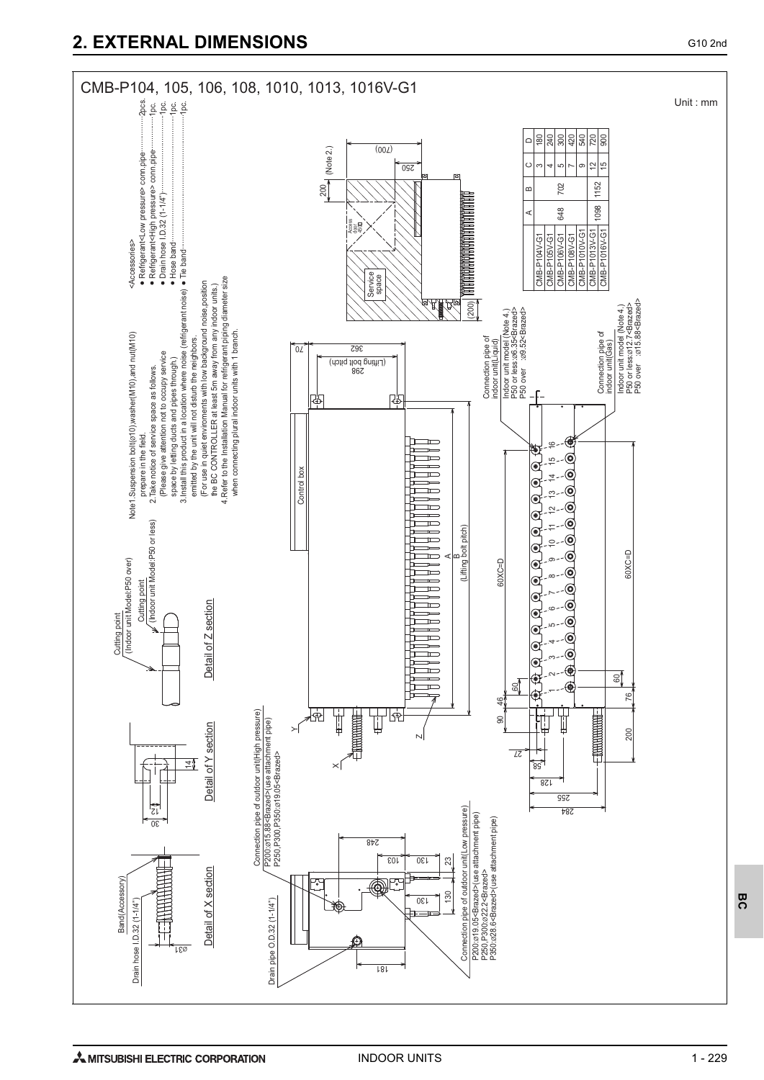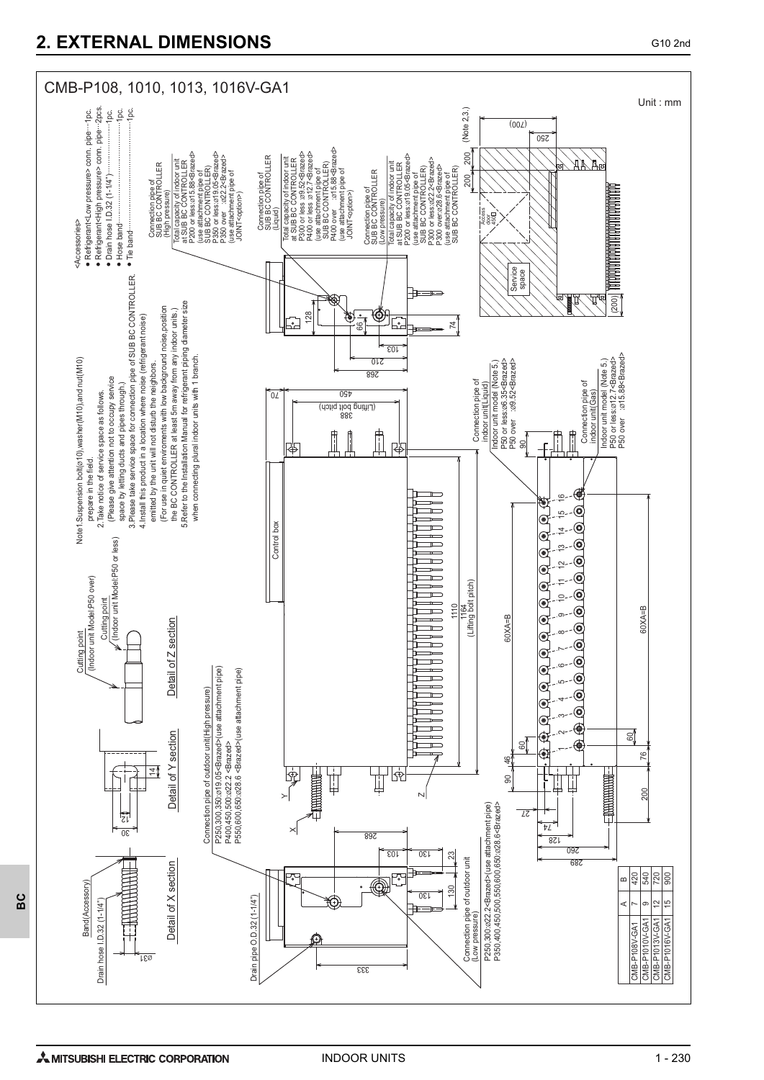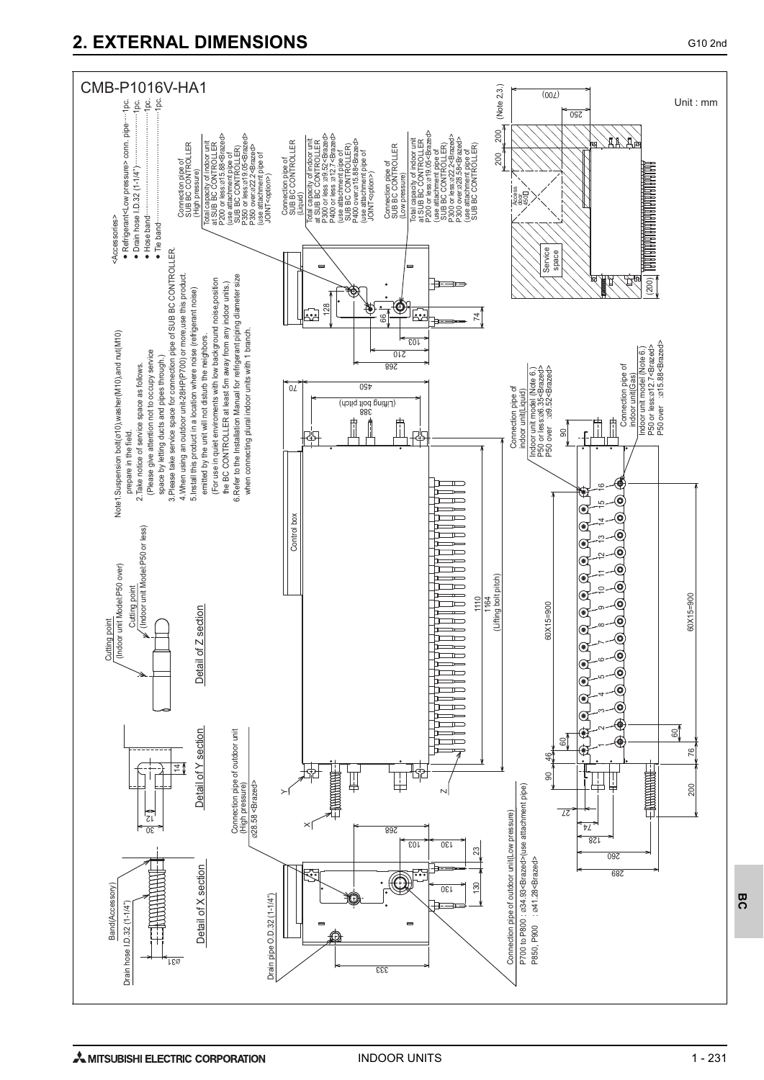# **2. EXTERNAL DIMENSIONS** G10 2nd

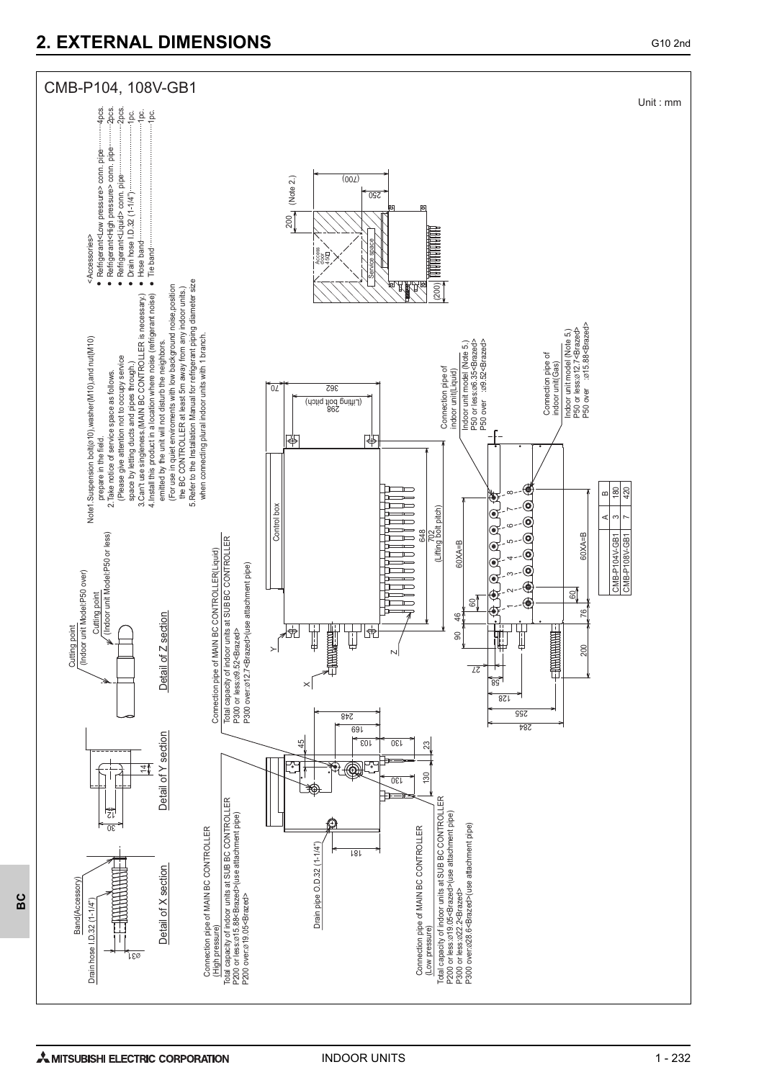## **2. EXTERNAL DIMENSIONS** G10 2nd

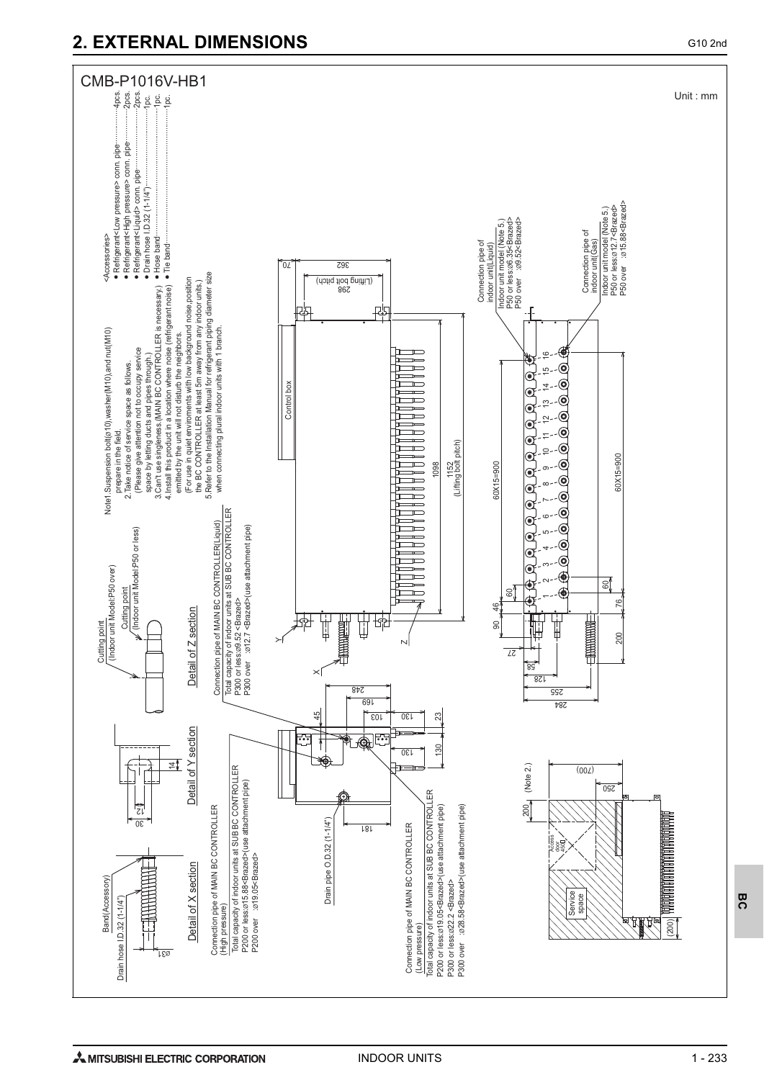# **2. EXTERNAL DIMENSIONS** G10 2nd



1 - 233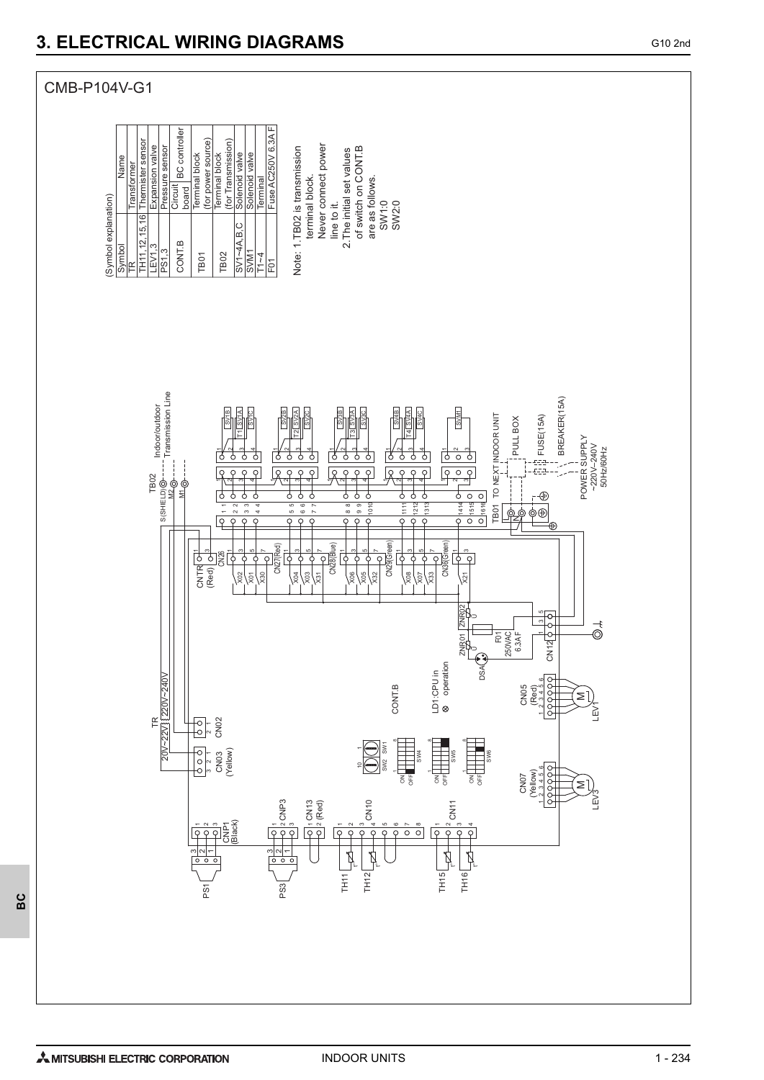

မိ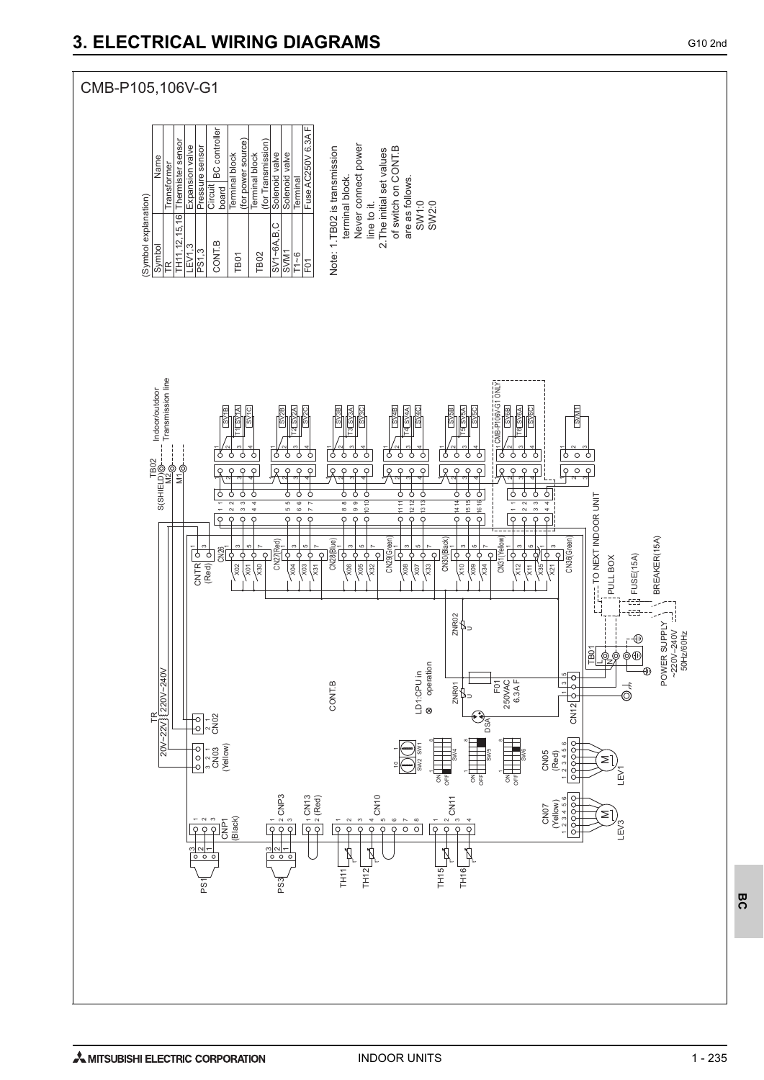#### CMB-P105,106V-G1Fuse AC250V 6.3A F Circuit BC controller<br>board Thermister sensor (for power source) (for power source) Thermister sensor (for Transmission) (for Transmission) Expansion valve Never connect power Never connect power of switch on CONT.B Pressure sensor Expansion valve Pressure sensor **Fuse AC250V 6.** Note: 1.TB02 is transmission Note: 1.TB02 is transmission 2. The initial set values of switch on CONT.B 2.The initial set values Solenoid valve Name Terminal block Terminal block Terminal block Terminal block Solenoid valve Solenoid valve Solenoid valve Name ransformer Transformer terminal block. are as follows. **Terminal**  terminal block. are as follows. (Symbol explanation) (Symbol explanation) SW1:0<br>SW2:0 line to it. SW1:0 SW2:0 line to it.  $\frac{6}{2}$ TH11,12,15,16  $15,$  $SV1 - 6A.B.C$ SV1~6A,B,C CONT.B TH11, 12, Symbol LEV1,3 PS1,3 TB01 TB02 T1~6  $\lesssim$  $\mathbb{E}$ F01 Transmission line Transmission line **FG1ONLY** CMB-P106V-G1 ONLY Indoor/outdoor Indoor/outdoor **SVM1** SV<sub>6C</sub>  $\frac{\text{S}}{\text{S}}$ SV2A 313<br>SH316<br>SH316 SV<br>SV4C<br>SV4C SV5B SV5A SV5C SV6B SV6A SV2C  $\mathbb{S}$ SV1B T2 ဥ T4 T5 T6 F ig  $\frac{1}{2}$ 4  $^{\circ}$ ო 4  $-1/2$ ო 4  $-1$  $\sim$ 3 4  $-1$   $\sim$   $\sim$ 4 4 $-1$   $\sim$   $-$ 2<br>19<br>19<br>19<br>19 ⋍  $\sim$ ſ3 ठ ₹ ठ 75 ठ nas<br>Fag<br>Fag n<br>Milgi<br>Mil  $\overline{\rho}$  $\sqrt{8}$  $\overline{\rho}$ ब्रि  $\overline{\rho}$  $\sqrt{8}$  $\overline{\rho}$ R ç  $\overline{\rho}$  $\sqrt{2}$ lc  $\overline{\varsigma}$ S(SHIELD)  $\sim$ 41  $\overline{\phantom{a}}$ ო 4 6 4  $\overline{\phantom{a}}$ ო 4 ო 4  $\sim$ 4  $-1$   $\sim$ ო ₹ ₹ ┧  $\frac{1}{\sigma}$ ₹  $\frac{1}{\circ}$ ╁  $\frac{1}{\delta}$ ┧ ╁ ╂ ß  $\frac{1}{\sqrt{2}}$  $\frac{1}{\sigma}$ ╁  $\frac{1}{\sigma}$ ₹ € ठि ---- TO NEXT INDOOR UNIT TO NEXT INDOOR UNIT 10 12 12 ෆ 14 15 16 15 16  $\scriptstyle\sim$  $\sim$ 4 $\epsilon$  $\overline{\phantom{0}}$  $\alpha$  $\sigma$ 11  $\sim$ 4 $\overline{\phantom{a}}$  $\scriptstyle\sim$  $\sim$ 4 $\epsilon$  $\overline{\phantom{0}}$  $\alpha$  $\sigma$ 11 14  $\sim$  $\sim$ 4 $\overline{\phantom{0}}$  $\frac{2}{9}$  $\overline{Q}$  $\frac{1}{2}$  $\overline{Q}$  $\overline{Q}$  $\overline{\circ}$  $\frac{1}{\sqrt{2}}$  $\varphi$  $\overline{P}$  $\circ$  $\varphi$  $\circ$  $\varsigma$  $\varphi$  $\mathsf{C}$  $\frac{1}{2}$   $\frac{1}{2}$   $\frac{1}{2}$   $\frac{1}{2}$   $\frac{1}{2}$   $\frac{1}{2}$   $\frac{1}{2}$   $\frac{1}{2}$   $\frac{1}{2}$   $\frac{1}{2}$   $\frac{1}{2}$   $\frac{1}{2}$   $\frac{1}{2}$   $\frac{1}{2}$   $\frac{1}{2}$   $\frac{1}{2}$   $\frac{1}{2}$   $\frac{1}{2}$   $\frac{1}{2}$   $\frac{1}{2}$   $\frac{1}{2}$   $\frac{1}{2}$  BREAKER(15A) BREAKER(15A) CN29(Green)<br>X08<br>X08  $\frac{2}{3}$   $\frac{1}{2}$   $\frac{1}{2}$   $\frac{1}{2}$   $\frac{1}{2}$   $\frac{1}{2}$   $\frac{1}{2}$   $\frac{1}{2}$   $\frac{1}{2}$   $\frac{1}{2}$   $\frac{1}{2}$   $\frac{1}{2}$   $\frac{1}{2}$   $\frac{1}{2}$   $\frac{1}{2}$   $\frac{1}{2}$   $\frac{1}{2}$   $\frac{1}{2}$   $\frac{1}{2}$   $\frac{1}{2}$   $\frac{1}{2}$   $\frac{1}{2}$  CN36(Green) CN27(Red)<br>CN<sub>2</sub><br>X<sub>03</sub><br>X03<br>X03 2<br>2 3 3 3 4 5 6 7<br>2 3 3 4 5 7<br>2 3 3 8 8 8 7 عالم إصماحه CNTR<br>(Red) 2026<br>CRed) 2026  $\overline{\phantom{0}}$ 1 က | ဟ ⇔ ا ← ယ  $-1$  a ی اے \| ۵۰  $\overline{\varphi}$  $\circ$ ¢  $\frac{1}{2}$ ; FUSE(15A) **PULL BOX** FUSE(15A) PULL BOX  $\sqrt{21}$  $\sqrt{3}$ **\3** X34 थ्रे ड्रि X07  $\approx$  $_{\infty}^{\infty}$  $\times$ 도 (영 ces. ZNR02<br>TH<sub>D</sub> POWER SUPPLY W POWER SUPPLY د<br>∃  $\begin{array}{c}\n\begin{array}{c}\n\downarrow \\
\circ \\
\circ\n\end{array}\n\end{array}$ ~220V–240V 50Hz/60Hz TB01 operation  $\mathord{\sqcup}$  IZ 8 operation t .<br>O 20V~22V 220V~240V LD1:CPU in LD1:CPU in 123456 3 5 1  $CNI2$   $\sqrt{9}$ ZNR01  $\vec{\odot}$ CONT.B  $\sqrt{2}$ F01 250VAC 6.3A F  $\frac{TR}{2 \times 1220}$  $^{\circ}$ °<sup>2</sup><br>CN03 CN02 DSA  $\frac{1}{2}$ ®<br>⊟ <sup>3, 2</sup><br>CN03<br>(Yellow) SW2 SW1 SW4 SW5 CN05 (Red) M \<br>M LEV1 Tat<br>18  $\overline{6}$ OFF T g<br>O CN10 CN11 CNP3 1 2 3 CN13 (Red) 1 2 123456 CN07 (Yellow)  $\leq$ CNP1 (Black) 31 2  $\overline{\phantom{a}}$  $\sim$ 4  $\circ$   $\sim$   $\circ$  $\,$ **N ๗ ヰ** LEV3  $\overline{\circ}$  $\circ$  $\overline{Q}$  $\varsigma$ t° t° t°  $20 20$ t°  $TH15$ TH16  $TH12$ TH11 PS1 PS3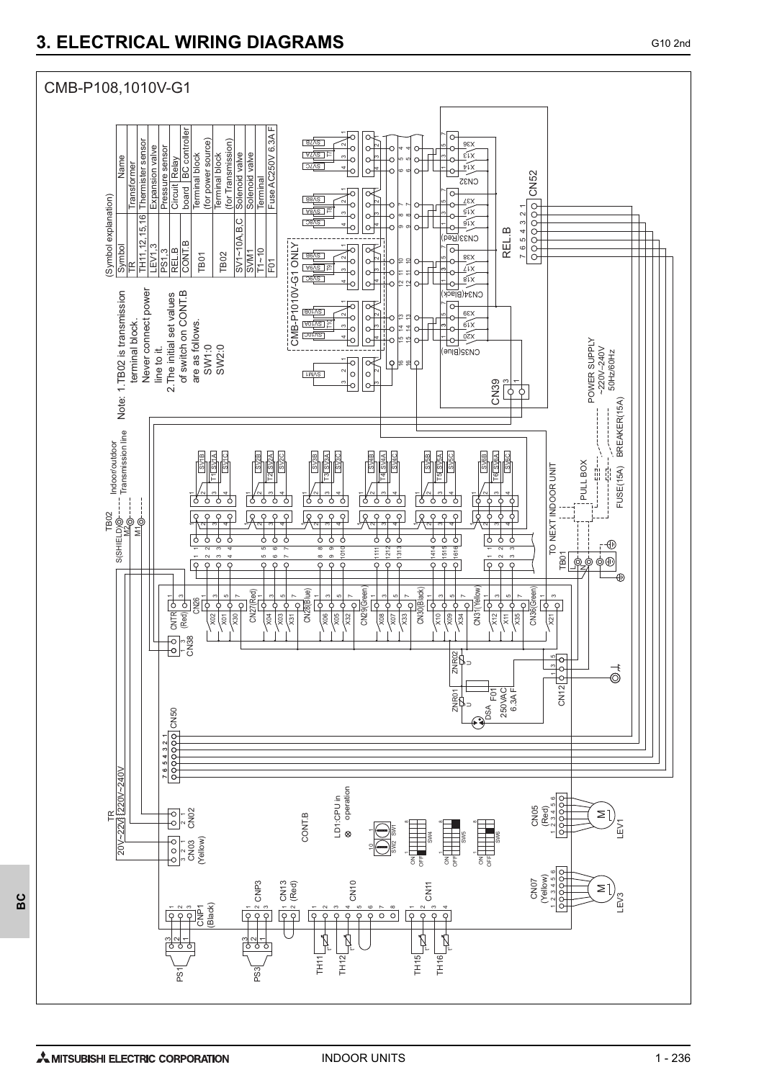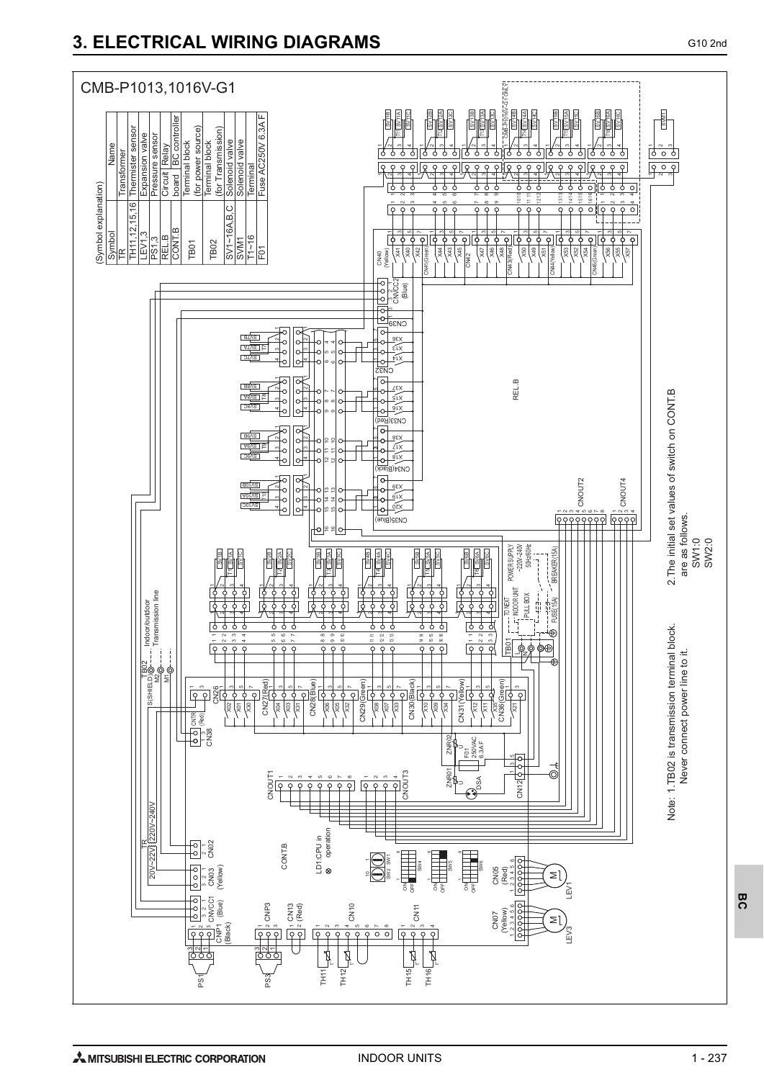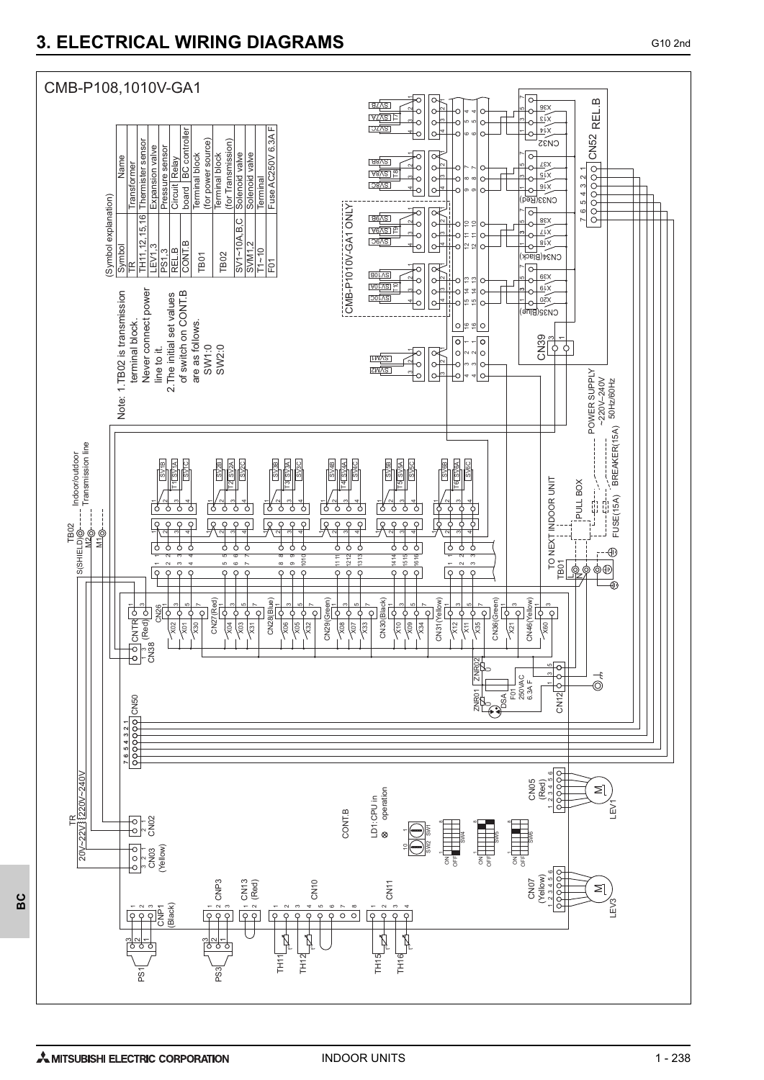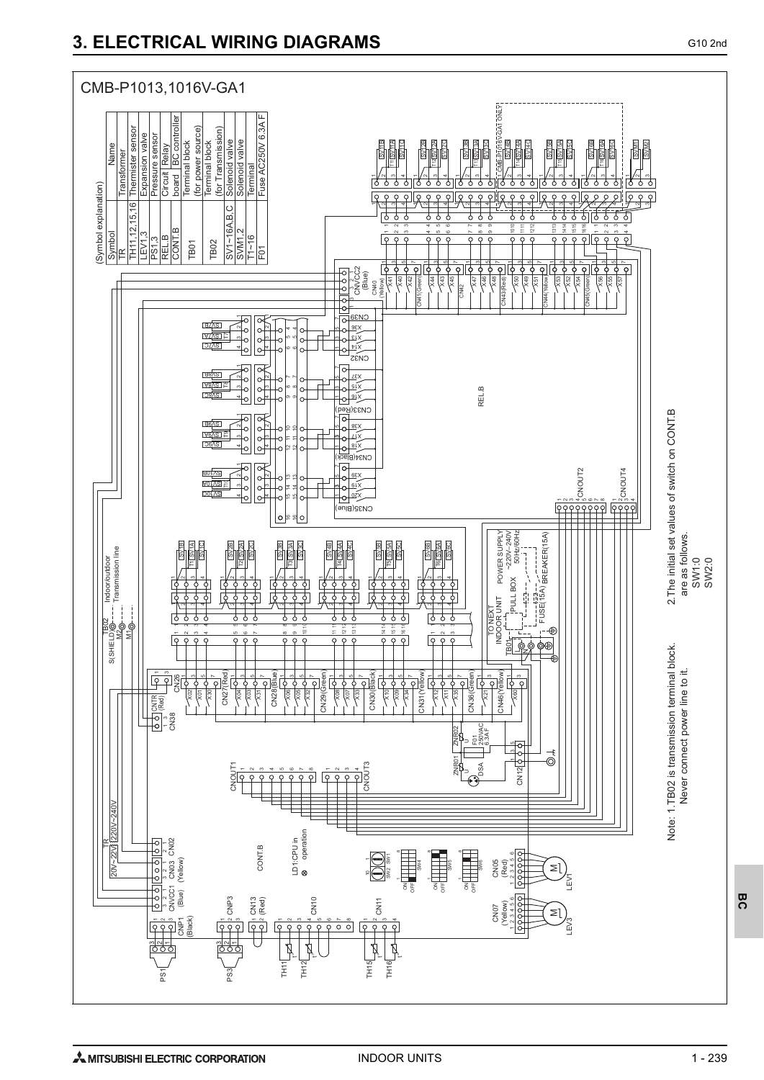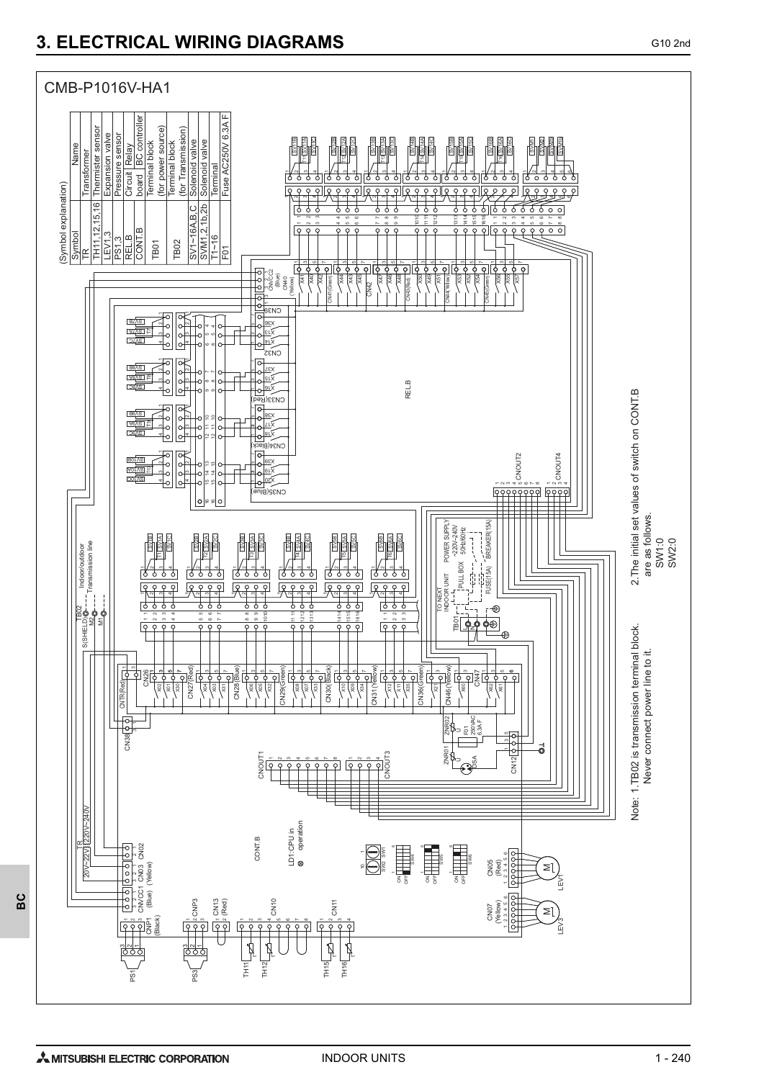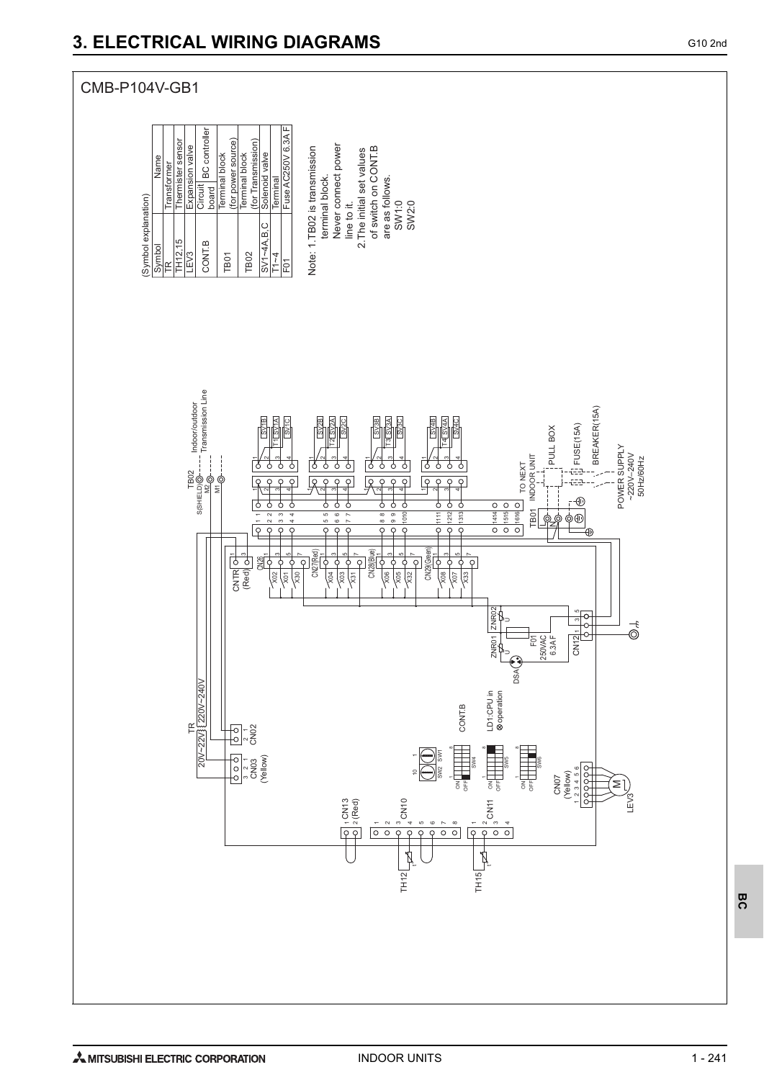



1 - 241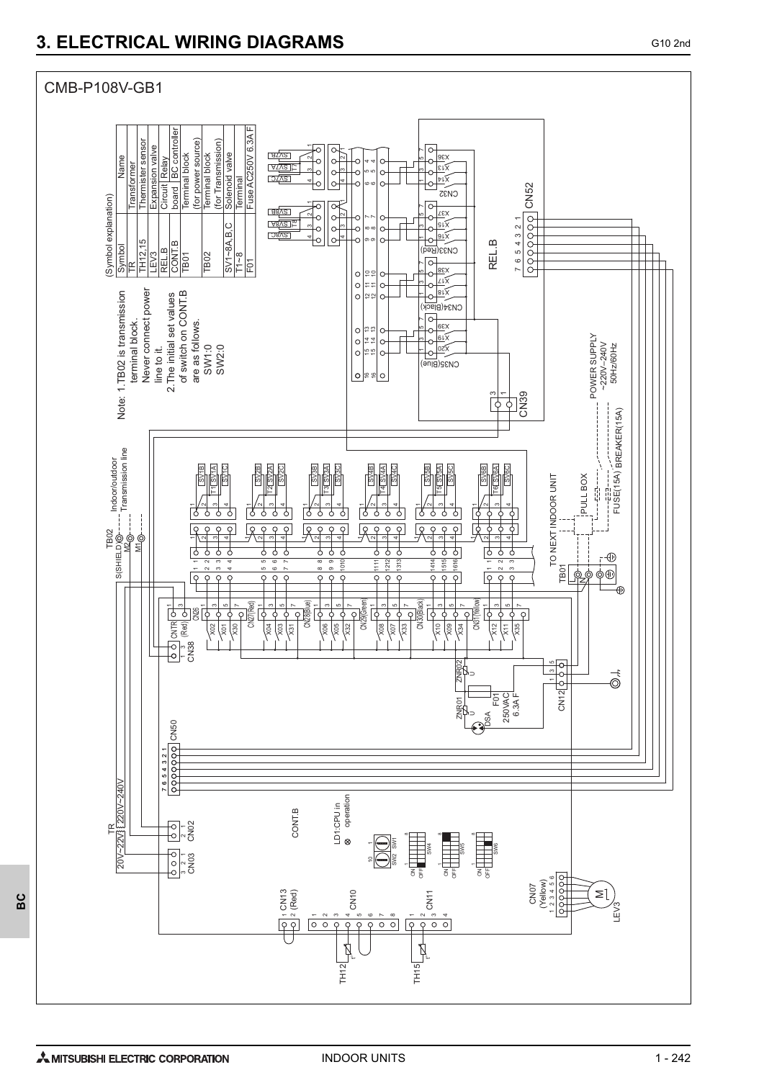

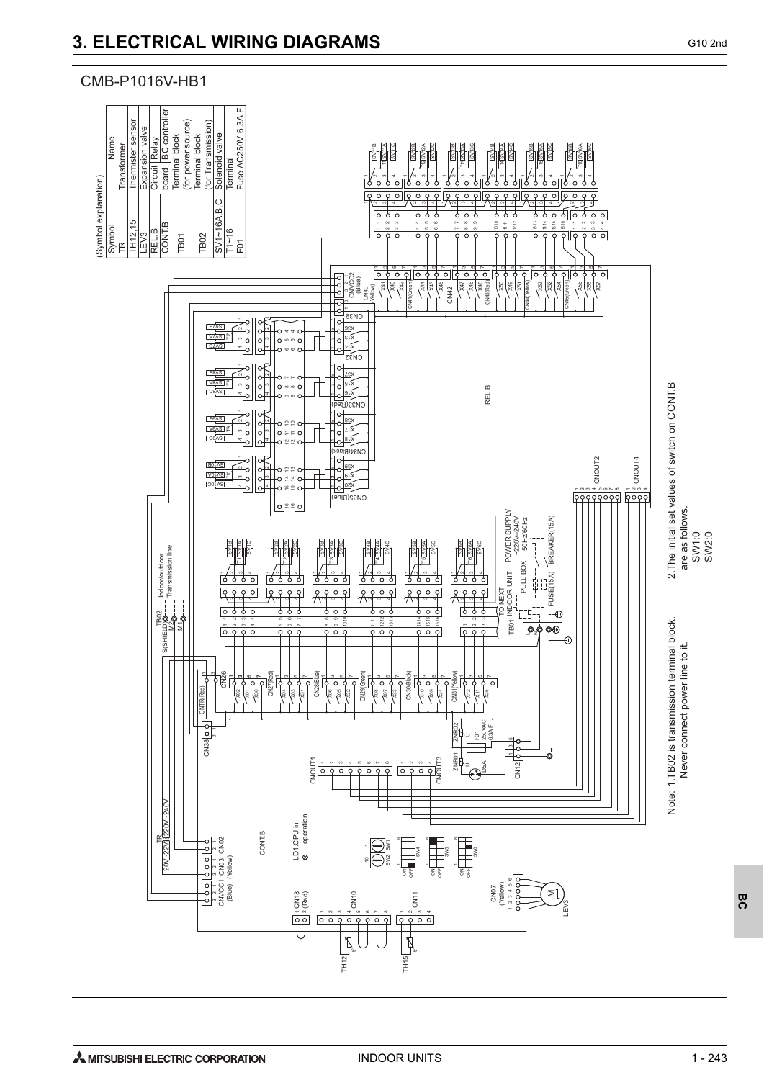